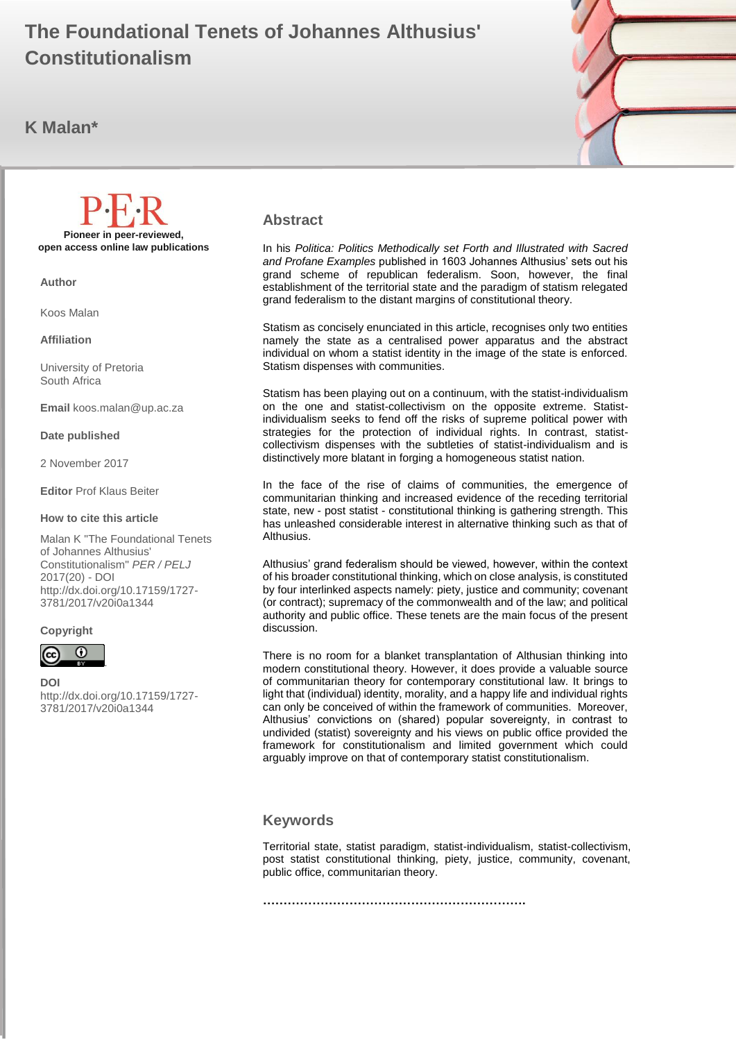#### $\mathbf{R}$  maliam  $\mathbf{R}$ **The Foundational Tenets of Johannes Althusius' Constitutionalism**

# **K Malan\***



#### **Abstract**

In his *Politica: Politics Methodically set Forth and Illustrated with Sacred and Profane Examples* published in 1603 Johannes Althusius' sets out his grand scheme of republican federalism. Soon, however, the final establishment of the territorial state and the paradigm of statism relegated grand federalism to the distant margins of constitutional theory.

Statism as concisely enunciated in this article, recognises only two entities namely the state as a centralised power apparatus and the abstract individual on whom a statist identity in the image of the state is enforced. Statism dispenses with communities.

Statism has been playing out on a continuum, with the statist-individualism on the one and statist-collectivism on the opposite extreme. Statistindividualism seeks to fend off the risks of supreme political power with strategies for the protection of individual rights. In contrast, statistcollectivism dispenses with the subtleties of statist-individualism and is distinctively more blatant in forging a homogeneous statist nation.

In the face of the rise of claims of communities, the emergence of communitarian thinking and increased evidence of the receding territorial state, new - post statist - constitutional thinking is gathering strength. This has unleashed considerable interest in alternative thinking such as that of Althusius.

Althusius' grand federalism should be viewed, however, within the context of his broader constitutional thinking, which on close analysis, is constituted by four interlinked aspects namely: piety, justice and community; covenant (or contract); supremacy of the commonwealth and of the law; and political authority and public office. These tenets are the main focus of the present discussion.

There is no room for a blanket transplantation of Althusian thinking into modern constitutional theory. However, it does provide a valuable source of communitarian theory for contemporary constitutional law. It brings to light that (individual) identity, morality, and a happy life and individual rights can only be conceived of within the framework of communities. Moreover, Althusius' convictions on (shared) popular sovereignty, in contrast to undivided (statist) sovereignty and his views on public office provided the framework for constitutionalism and limited government which could arguably improve on that of contemporary statist constitutionalism.

#### **Keywords**

Territorial state, statist paradigm, statist-individualism, statist-collectivism, post statist constitutional thinking, piety, justice, community, covenant, public office, communitarian theory.

**……………………………………………………….**

**Pioneer in peer-reviewed, open access online law publications**

**Author**

Koos Malan

**Affiliation**

University of Pretoria South Africa

**Email** koos.malan@up.ac.za

#### **Date published**

2 November 2017

#### **Editor** Prof Klaus Beiter

#### **How to cite this article**

Malan K "The Foundational Tenets of Johannes Althusius' Constitutionalism" *PER / PELJ* 2017(20) - DOI http://dx.doi.org/10.17159/1727- 3781/2017/v20i0a1344

#### **Copyright**



**DOI**  http://dx.doi.org/10.17159/1727- 3781/2017/v20i0a1344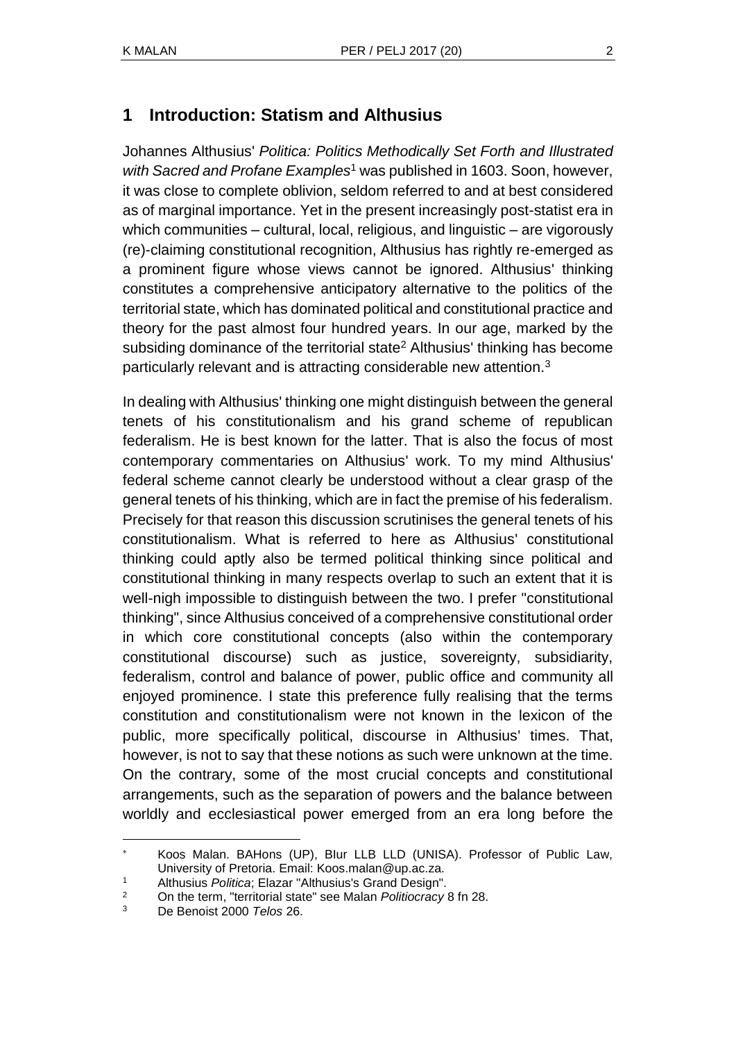# **1 Introduction: Statism and Althusius**

Johannes Althusius' *Politica: Politics Methodically Set Forth and Illustrated with Sacred and Profane Examples*<sup>1</sup> was published in 1603. Soon, however, it was close to complete oblivion, seldom referred to and at best considered as of marginal importance. Yet in the present increasingly post-statist era in which communities – cultural, local, religious, and linguistic – are vigorously (re)-claiming constitutional recognition, Althusius has rightly re-emerged as a prominent figure whose views cannot be ignored. Althusius' thinking constitutes a comprehensive anticipatory alternative to the politics of the territorial state, which has dominated political and constitutional practice and theory for the past almost four hundred years. In our age, marked by the subsiding dominance of the territorial state<sup>2</sup> Althusius' thinking has become particularly relevant and is attracting considerable new attention.<sup>3</sup>

In dealing with Althusius' thinking one might distinguish between the general tenets of his constitutionalism and his grand scheme of republican federalism. He is best known for the latter. That is also the focus of most contemporary commentaries on Althusius' work. To my mind Althusius' federal scheme cannot clearly be understood without a clear grasp of the general tenets of his thinking, which are in fact the premise of his federalism. Precisely for that reason this discussion scrutinises the general tenets of his constitutionalism. What is referred to here as Althusius' constitutional thinking could aptly also be termed political thinking since political and constitutional thinking in many respects overlap to such an extent that it is well-nigh impossible to distinguish between the two. I prefer "constitutional thinking", since Althusius conceived of a comprehensive constitutional order in which core constitutional concepts (also within the contemporary constitutional discourse) such as justice, sovereignty, subsidiarity, federalism, control and balance of power, public office and community all enjoyed prominence. I state this preference fully realising that the terms constitution and constitutionalism were not known in the lexicon of the public, more specifically political, discourse in Althusius' times. That, however, is not to say that these notions as such were unknown at the time. On the contrary, some of the most crucial concepts and constitutional arrangements, such as the separation of powers and the balance between worldly and ecclesiastical power emerged from an era long before the

Koos Malan. BAHons (UP), BIur LLB LLD (UNISA). Professor of Public Law, University of Pretoria. Email: Koos.malan@up.ac.za.

<sup>1</sup> Althusius *Politica*; Elazar "Althusius's Grand Design".

<sup>2</sup> On the term, "territorial state" see Malan *Politiocracy* 8 fn 28.

<sup>3</sup> De Benoist 2000 *Telos* 26.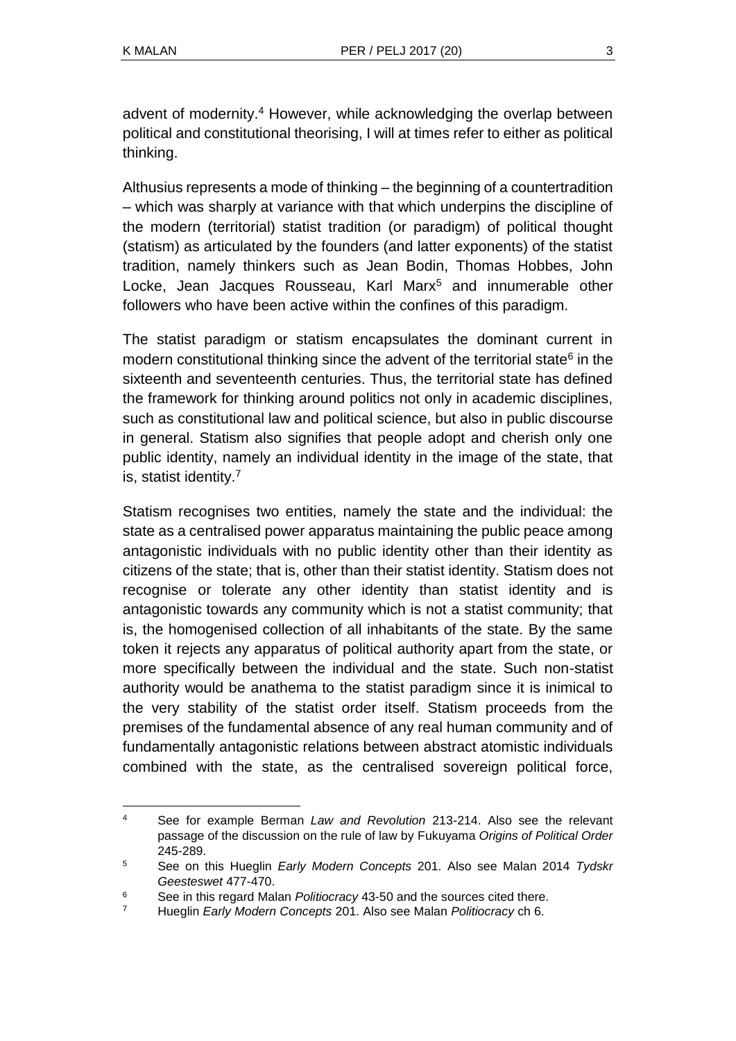l

advent of modernity.<sup>4</sup> However, while acknowledging the overlap between political and constitutional theorising, I will at times refer to either as political thinking.

Althusius represents a mode of thinking – the beginning of a countertradition – which was sharply at variance with that which underpins the discipline of the modern (territorial) statist tradition (or paradigm) of political thought (statism) as articulated by the founders (and latter exponents) of the statist tradition, namely thinkers such as Jean Bodin, Thomas Hobbes, John Locke, Jean Jacques Rousseau, Karl Marx<sup>5</sup> and innumerable other followers who have been active within the confines of this paradigm.

The statist paradigm or statism encapsulates the dominant current in modern constitutional thinking since the advent of the territorial state<sup>6</sup> in the sixteenth and seventeenth centuries. Thus, the territorial state has defined the framework for thinking around politics not only in academic disciplines, such as constitutional law and political science, but also in public discourse in general. Statism also signifies that people adopt and cherish only one public identity, namely an individual identity in the image of the state, that is, statist identity.<sup>7</sup>

Statism recognises two entities, namely the state and the individual: the state as a centralised power apparatus maintaining the public peace among antagonistic individuals with no public identity other than their identity as citizens of the state; that is, other than their statist identity. Statism does not recognise or tolerate any other identity than statist identity and is antagonistic towards any community which is not a statist community; that is, the homogenised collection of all inhabitants of the state. By the same token it rejects any apparatus of political authority apart from the state, or more specifically between the individual and the state. Such non-statist authority would be anathema to the statist paradigm since it is inimical to the very stability of the statist order itself. Statism proceeds from the premises of the fundamental absence of any real human community and of fundamentally antagonistic relations between abstract atomistic individuals combined with the state, as the centralised sovereign political force,

<sup>4</sup> See for example Berman *Law and Revolution* 213-214. Also see the relevant passage of the discussion on the rule of law by Fukuyama *Origins of Political Order* 245-289.

<sup>5</sup> See on this Hueglin *Early Modern Concepts* 201. Also see Malan 2014 *Tydskr Geesteswet* 477-470.

<sup>6</sup> See in this regard Malan *Politiocracy* 43-50 and the sources cited there.

<sup>7</sup> Hueglin *Early Modern Concepts* 201. Also see Malan *Politiocracy* ch 6.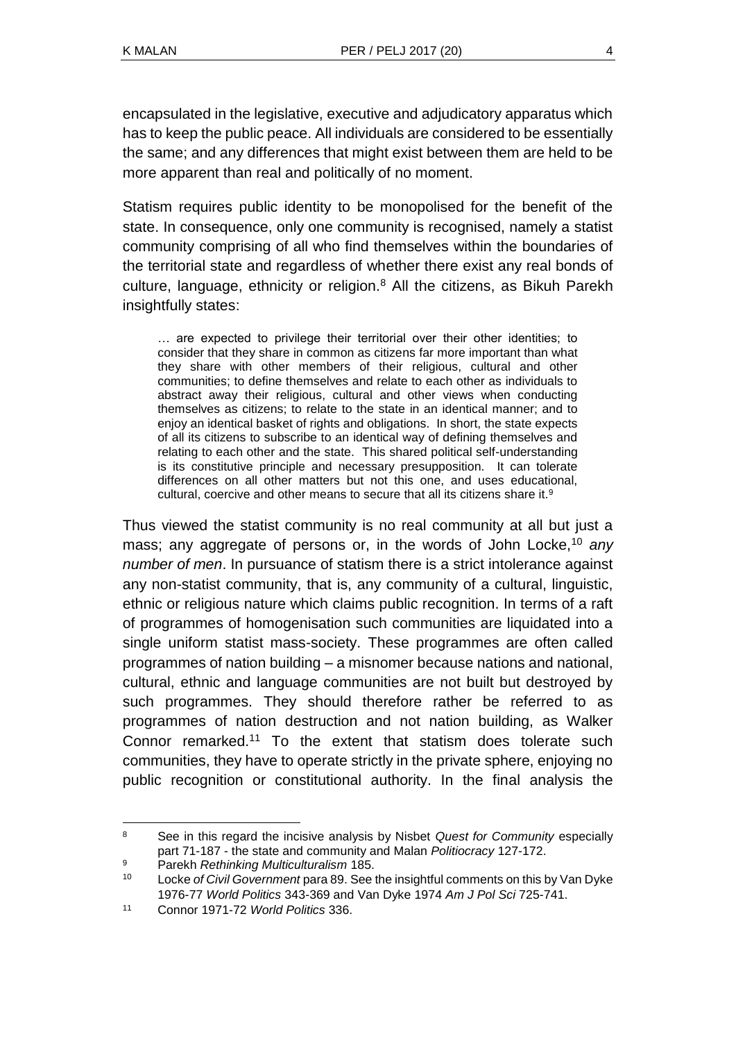encapsulated in the legislative, executive and adjudicatory apparatus which has to keep the public peace. All individuals are considered to be essentially the same; and any differences that might exist between them are held to be more apparent than real and politically of no moment.

Statism requires public identity to be monopolised for the benefit of the state. In consequence, only one community is recognised, namely a statist community comprising of all who find themselves within the boundaries of the territorial state and regardless of whether there exist any real bonds of culture, language, ethnicity or religion.<sup>8</sup> All the citizens, as Bikuh Parekh insightfully states:

… are expected to privilege their territorial over their other identities; to consider that they share in common as citizens far more important than what they share with other members of their religious, cultural and other communities; to define themselves and relate to each other as individuals to abstract away their religious, cultural and other views when conducting themselves as citizens; to relate to the state in an identical manner; and to enjoy an identical basket of rights and obligations. In short, the state expects of all its citizens to subscribe to an identical way of defining themselves and relating to each other and the state. This shared political self-understanding is its constitutive principle and necessary presupposition. It can tolerate differences on all other matters but not this one, and uses educational, cultural, coercive and other means to secure that all its citizens share it.<sup>9</sup>

Thus viewed the statist community is no real community at all but just a mass; any aggregate of persons or, in the words of John Locke,<sup>10</sup> *any number of men*. In pursuance of statism there is a strict intolerance against any non-statist community, that is, any community of a cultural, linguistic, ethnic or religious nature which claims public recognition. In terms of a raft of programmes of homogenisation such communities are liquidated into a single uniform statist mass-society. These programmes are often called programmes of nation building – a misnomer because nations and national, cultural, ethnic and language communities are not built but destroyed by such programmes. They should therefore rather be referred to as programmes of nation destruction and not nation building, as Walker Connor remarked.<sup>11</sup> To the extent that statism does tolerate such communities, they have to operate strictly in the private sphere, enjoying no public recognition or constitutional authority. In the final analysis the

l <sup>8</sup> See in this regard the incisive analysis by Nisbet *Quest for Community* especially part 71-187 - the state and community and Malan *Politiocracy* 127-172.

<sup>9</sup> Parekh *Rethinking Multiculturalism* 185.

<sup>10</sup> Locke *of Civil Government* para 89. See the insightful comments on this by Van Dyke 1976-77 *World Politics* 343-369 and Van Dyke 1974 *Am J Pol Sci* 725-741.

<sup>11</sup> Connor 1971-72 *World Politics* 336.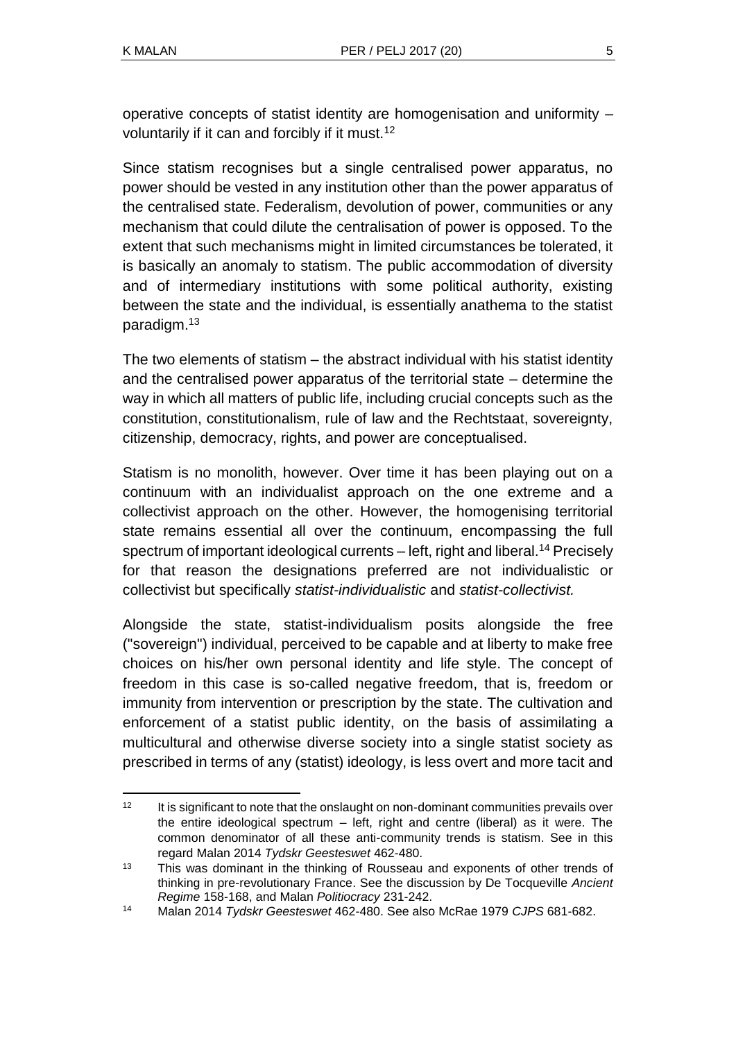operative concepts of statist identity are homogenisation and uniformity – voluntarily if it can and forcibly if it must.<sup>12</sup>

Since statism recognises but a single centralised power apparatus, no power should be vested in any institution other than the power apparatus of the centralised state. Federalism, devolution of power, communities or any mechanism that could dilute the centralisation of power is opposed. To the extent that such mechanisms might in limited circumstances be tolerated, it is basically an anomaly to statism. The public accommodation of diversity and of intermediary institutions with some political authority, existing between the state and the individual, is essentially anathema to the statist paradigm.<sup>13</sup>

The two elements of statism – the abstract individual with his statist identity and the centralised power apparatus of the territorial state – determine the way in which all matters of public life, including crucial concepts such as the constitution, constitutionalism, rule of law and the Rechtstaat, sovereignty, citizenship, democracy, rights, and power are conceptualised.

Statism is no monolith, however. Over time it has been playing out on a continuum with an individualist approach on the one extreme and a collectivist approach on the other. However, the homogenising territorial state remains essential all over the continuum, encompassing the full spectrum of important ideological currents – left, right and liberal.<sup>14</sup> Precisely for that reason the designations preferred are not individualistic or collectivist but specifically *statist-individualistic* and *statist-collectivist.*

Alongside the state, statist-individualism posits alongside the free ("sovereign") individual, perceived to be capable and at liberty to make free choices on his/her own personal identity and life style. The concept of freedom in this case is so-called negative freedom, that is, freedom or immunity from intervention or prescription by the state. The cultivation and enforcement of a statist public identity, on the basis of assimilating a multicultural and otherwise diverse society into a single statist society as prescribed in terms of any (statist) ideology, is less overt and more tacit and

 $\overline{a}$  $12$  It is significant to note that the onslaught on non-dominant communities prevails over the entire ideological spectrum – left, right and centre (liberal) as it were. The common denominator of all these anti-community trends is statism. See in this regard Malan 2014 *Tydskr Geesteswet* 462-480.

<sup>&</sup>lt;sup>13</sup> This was dominant in the thinking of Rousseau and exponents of other trends of thinking in pre-revolutionary France. See the discussion by De Tocqueville *Ancient Regime* 158-168, and Malan *Politiocracy* 231-242.

<sup>14</sup> Malan 2014 *Tydskr Geesteswet* 462-480. See also McRae 1979 *CJPS* 681-682.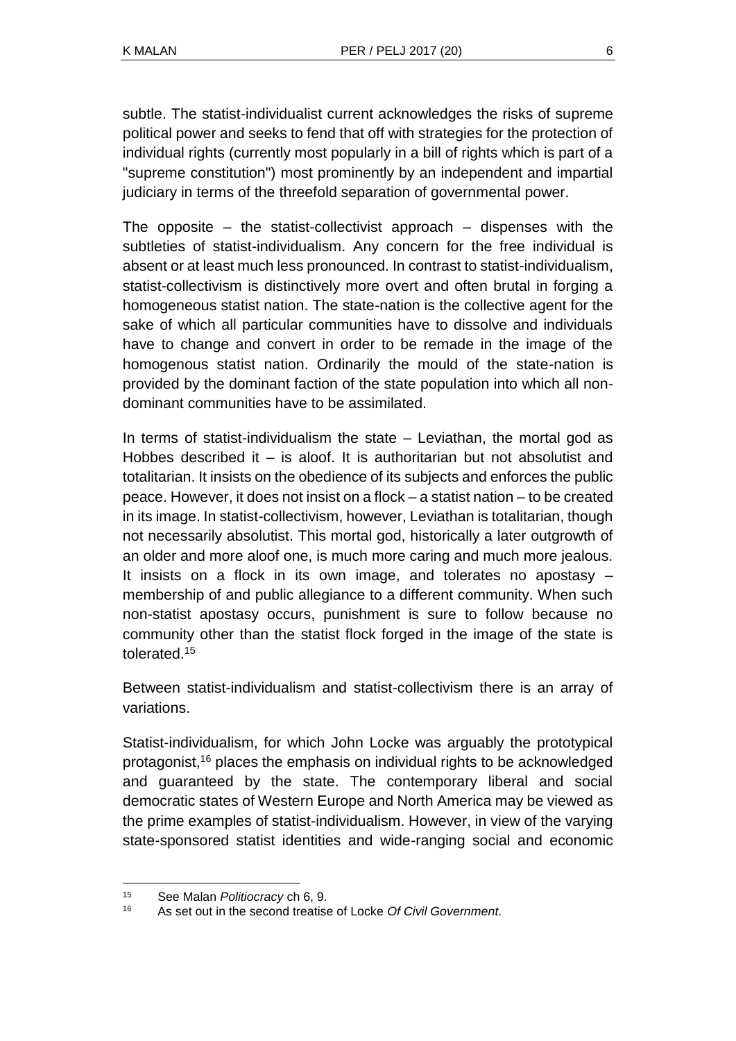subtle. The statist-individualist current acknowledges the risks of supreme political power and seeks to fend that off with strategies for the protection of individual rights (currently most popularly in a bill of rights which is part of a "supreme constitution") most prominently by an independent and impartial judiciary in terms of the threefold separation of governmental power.

The opposite  $-$  the statist-collectivist approach  $-$  dispenses with the subtleties of statist-individualism. Any concern for the free individual is absent or at least much less pronounced. In contrast to statist-individualism, statist-collectivism is distinctively more overt and often brutal in forging a homogeneous statist nation. The state-nation is the collective agent for the sake of which all particular communities have to dissolve and individuals have to change and convert in order to be remade in the image of the homogenous statist nation. Ordinarily the mould of the state-nation is provided by the dominant faction of the state population into which all nondominant communities have to be assimilated.

In terms of statist-individualism the state  $-$  Leviathan, the mortal god as Hobbes described it – is aloof. It is authoritarian but not absolutist and totalitarian. It insists on the obedience of its subjects and enforces the public peace. However, it does not insist on a flock – a statist nation – to be created in its image. In statist-collectivism, however, Leviathan is totalitarian, though not necessarily absolutist. This mortal god, historically a later outgrowth of an older and more aloof one, is much more caring and much more jealous. It insists on a flock in its own image, and tolerates no apostasy – membership of and public allegiance to a different community. When such non-statist apostasy occurs, punishment is sure to follow because no community other than the statist flock forged in the image of the state is tolerated.<sup>15</sup>

Between statist-individualism and statist-collectivism there is an array of variations.

Statist-individualism, for which John Locke was arguably the prototypical protagonist,<sup>16</sup> places the emphasis on individual rights to be acknowledged and guaranteed by the state. The contemporary liberal and social democratic states of Western Europe and North America may be viewed as the prime examples of statist-individualism. However, in view of the varying state-sponsored statist identities and wide-ranging social and economic

l <sup>15</sup> See Malan *Politiocracy* ch 6, 9.

<sup>16</sup> As set out in the second treatise of Locke *Of Civil Government*.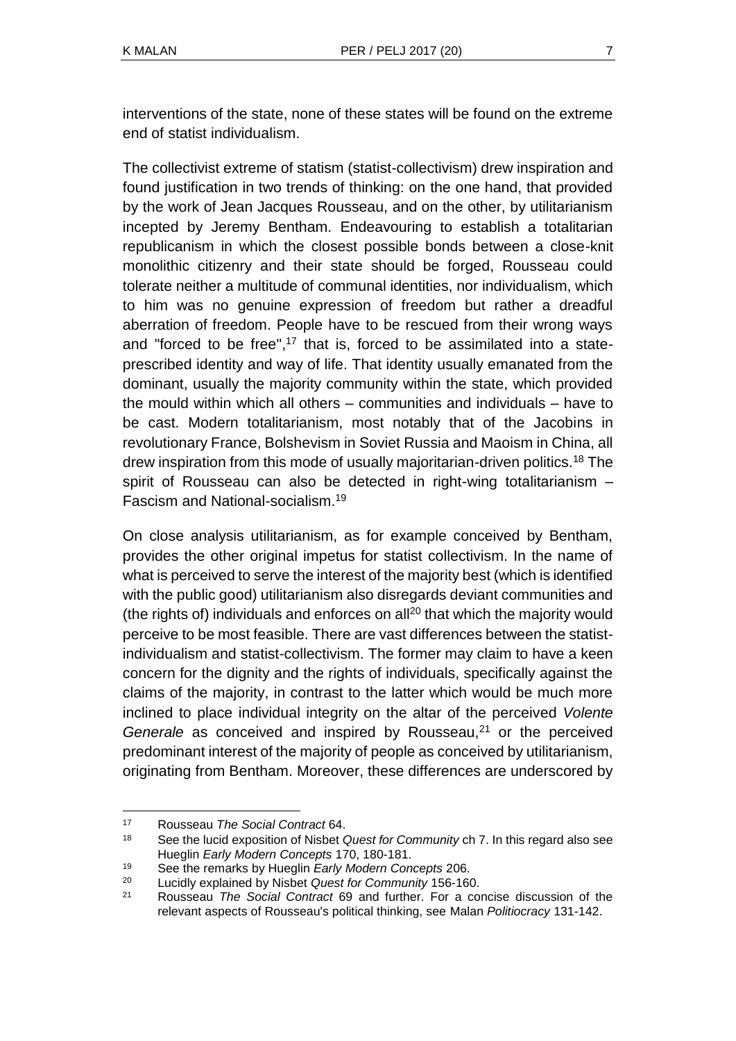interventions of the state, none of these states will be found on the extreme end of statist individualism.

The collectivist extreme of statism (statist-collectivism) drew inspiration and found justification in two trends of thinking: on the one hand, that provided by the work of Jean Jacques Rousseau, and on the other, by utilitarianism incepted by Jeremy Bentham. Endeavouring to establish a totalitarian republicanism in which the closest possible bonds between a close-knit monolithic citizenry and their state should be forged, Rousseau could tolerate neither a multitude of communal identities, nor individualism, which to him was no genuine expression of freedom but rather a dreadful aberration of freedom. People have to be rescued from their wrong ways and "forced to be free", <sup>17</sup> that is, forced to be assimilated into a stateprescribed identity and way of life. That identity usually emanated from the dominant, usually the majority community within the state, which provided the mould within which all others – communities and individuals – have to be cast. Modern totalitarianism, most notably that of the Jacobins in revolutionary France, Bolshevism in Soviet Russia and Maoism in China, all drew inspiration from this mode of usually majoritarian-driven politics.<sup>18</sup> The spirit of Rousseau can also be detected in right-wing totalitarianism – Fascism and National-socialism.<sup>19</sup>

On close analysis utilitarianism, as for example conceived by Bentham, provides the other original impetus for statist collectivism. In the name of what is perceived to serve the interest of the majority best (which is identified with the public good) utilitarianism also disregards deviant communities and (the rights of) individuals and enforces on all<sup>20</sup> that which the majority would perceive to be most feasible. There are vast differences between the statistindividualism and statist-collectivism. The former may claim to have a keen concern for the dignity and the rights of individuals, specifically against the claims of the majority, in contrast to the latter which would be much more inclined to place individual integrity on the altar of the perceived *Volente Generale* as conceived and inspired by Rousseau,<sup>21</sup> or the perceived predominant interest of the majority of people as conceived by utilitarianism, originating from Bentham. Moreover, these differences are underscored by

l <sup>17</sup> Rousseau *The Social Contract* 64.

<sup>18</sup> See the lucid exposition of Nisbet *Quest for Community* ch 7. In this regard also see Hueglin *Early Modern Concepts* 170, 180-181.

<sup>19</sup> See the remarks by Hueglin *Early Modern Concepts* 206.

<sup>20</sup> Lucidly explained by Nisbet *Quest for Community* 156-160.

<sup>21</sup> Rousseau *The Social Contract* 69 and further. For a concise discussion of the relevant aspects of Rousseau's political thinking, see Malan *Politiocracy* 131-142.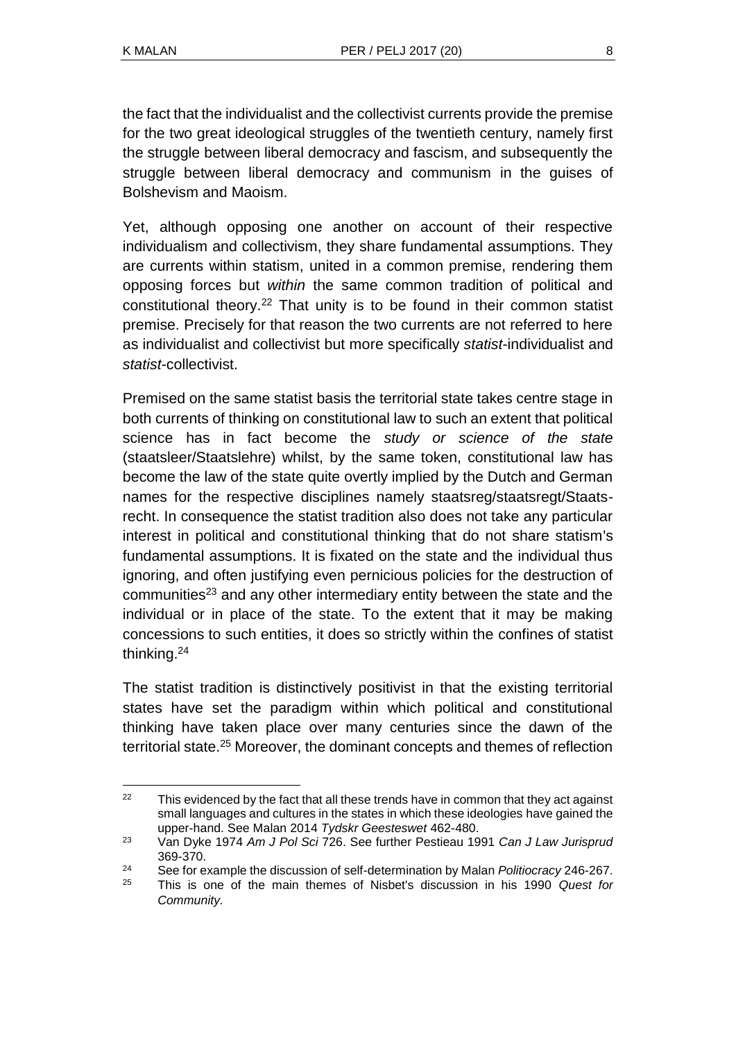the fact that the individualist and the collectivist currents provide the premise for the two great ideological struggles of the twentieth century, namely first the struggle between liberal democracy and fascism, and subsequently the struggle between liberal democracy and communism in the guises of Bolshevism and Maoism.

Yet, although opposing one another on account of their respective individualism and collectivism, they share fundamental assumptions. They are currents within statism, united in a common premise, rendering them opposing forces but *within* the same common tradition of political and constitutional theory.<sup>22</sup> That unity is to be found in their common statist premise. Precisely for that reason the two currents are not referred to here as individualist and collectivist but more specifically *statist*-individualist and *statist*-collectivist.

Premised on the same statist basis the territorial state takes centre stage in both currents of thinking on constitutional law to such an extent that political science has in fact become the *study or science of the state* (staatsleer/Staatslehre) whilst, by the same token, constitutional law has become the law of the state quite overtly implied by the Dutch and German names for the respective disciplines namely staatsreg/staatsregt/Staatsrecht. In consequence the statist tradition also does not take any particular interest in political and constitutional thinking that do not share statism's fundamental assumptions. It is fixated on the state and the individual thus ignoring, and often justifying even pernicious policies for the destruction of communities<sup>23</sup> and any other intermediary entity between the state and the individual or in place of the state. To the extent that it may be making concessions to such entities, it does so strictly within the confines of statist thinking.<sup>24</sup>

The statist tradition is distinctively positivist in that the existing territorial states have set the paradigm within which political and constitutional thinking have taken place over many centuries since the dawn of the territorial state.<sup>25</sup> Moreover, the dominant concepts and themes of reflection

l  $22$  This evidenced by the fact that all these trends have in common that they act against small languages and cultures in the states in which these ideologies have gained the upper-hand. See Malan 2014 *Tydskr Geesteswet* 462-480.

<sup>23</sup> Van Dyke 1974 *Am J Pol Sci* 726. See further Pestieau 1991 *Can J Law Jurisprud*  369-370.

<sup>&</sup>lt;sup>24</sup> See for example the discussion of self-determination by Malan *Politiocracy* 246-267.

<sup>25</sup> This is one of the main themes of Nisbet's discussion in his 1990 *Quest for Community.*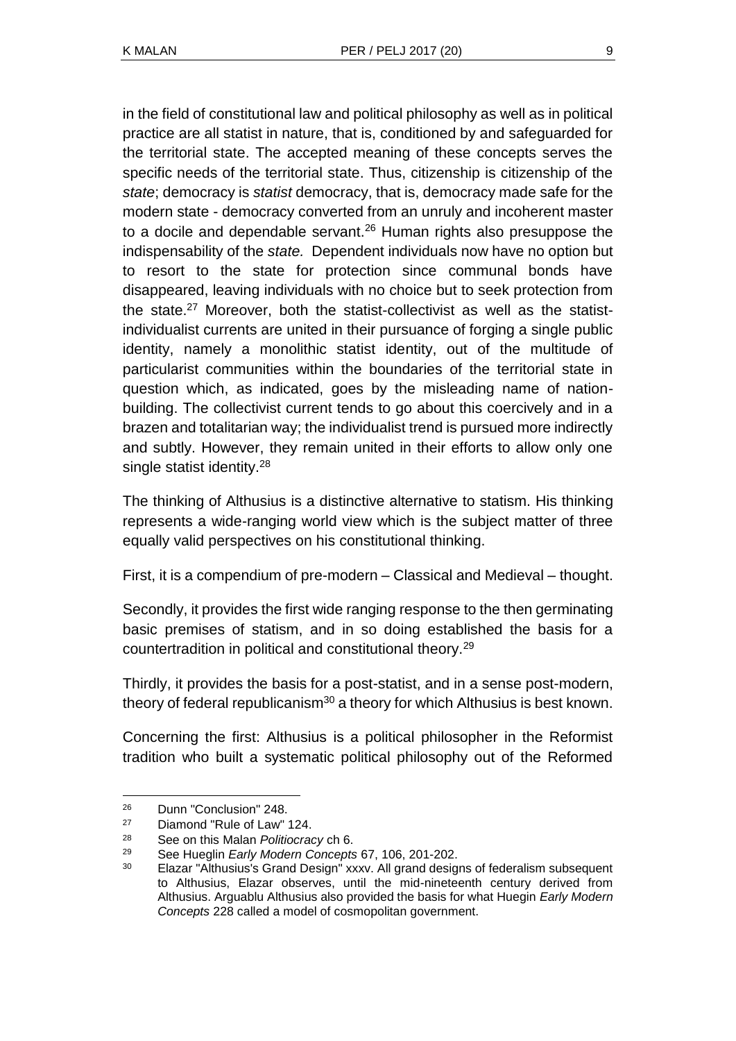in the field of constitutional law and political philosophy as well as in political practice are all statist in nature, that is, conditioned by and safeguarded for the territorial state. The accepted meaning of these concepts serves the specific needs of the territorial state. Thus, citizenship is citizenship of the *state*; democracy is *statist* democracy, that is, democracy made safe for the modern state - democracy converted from an unruly and incoherent master to a docile and dependable servant.<sup>26</sup> Human rights also presuppose the indispensability of the *state.* Dependent individuals now have no option but to resort to the state for protection since communal bonds have disappeared, leaving individuals with no choice but to seek protection from the state.<sup>27</sup> Moreover, both the statist-collectivist as well as the statistindividualist currents are united in their pursuance of forging a single public identity, namely a monolithic statist identity, out of the multitude of particularist communities within the boundaries of the territorial state in question which, as indicated, goes by the misleading name of nationbuilding. The collectivist current tends to go about this coercively and in a brazen and totalitarian way; the individualist trend is pursued more indirectly and subtly. However, they remain united in their efforts to allow only one single statist identity.<sup>28</sup>

The thinking of Althusius is a distinctive alternative to statism. His thinking represents a wide-ranging world view which is the subject matter of three equally valid perspectives on his constitutional thinking.

First, it is a compendium of pre-modern – Classical and Medieval – thought.

Secondly, it provides the first wide ranging response to the then germinating basic premises of statism, and in so doing established the basis for a countertradition in political and constitutional theory.<sup>29</sup>

Thirdly, it provides the basis for a post-statist, and in a sense post-modern, theory of federal republicanism<sup>30</sup> a theory for which Althusius is best known.

Concerning the first: Althusius is a political philosopher in the Reformist tradition who built a systematic political philosophy out of the Reformed

<sup>26</sup> Dunn "Conclusion" 248.

<sup>27</sup> Diamond "Rule of Law" 124.

<sup>28</sup> See on this Malan *Politiocracy* ch 6.

<sup>29</sup> See Hueglin *Early Modern Concepts* 67, 106, 201-202.

<sup>&</sup>lt;sup>30</sup> Elazar "Althusius's Grand Design" xxxv. All grand designs of federalism subsequent to Althusius, Elazar observes, until the mid-nineteenth century derived from Althusius. Arguablu Althusius also provided the basis for what Huegin *Early Modern Concepts* 228 called a model of cosmopolitan government.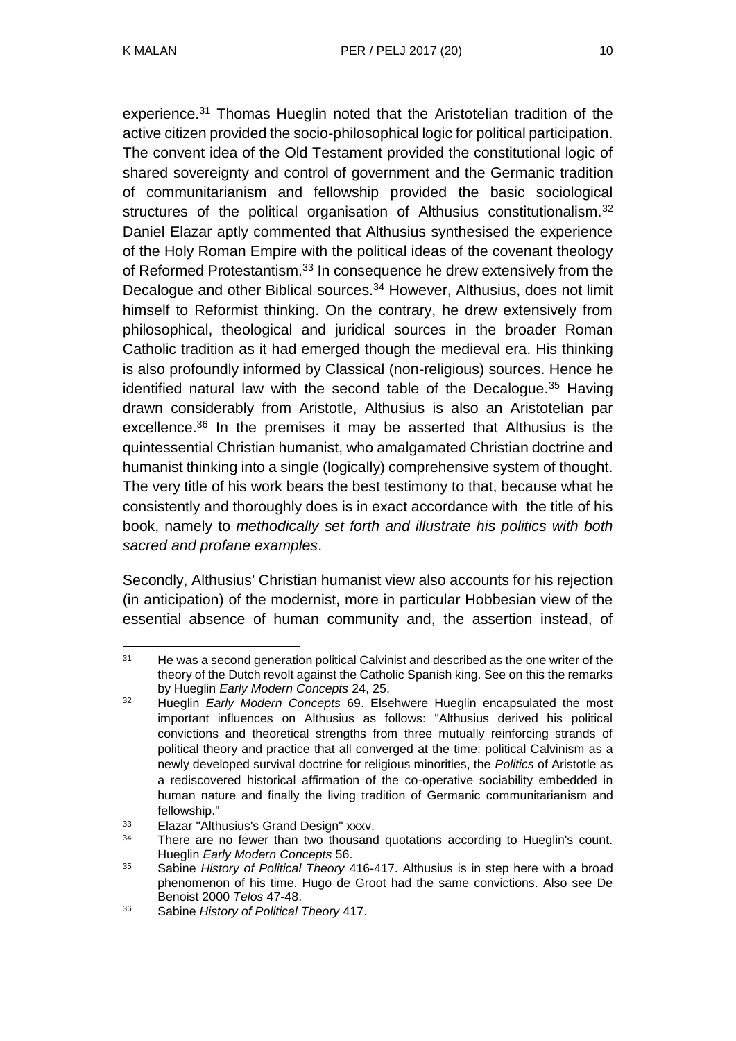experience.<sup>31</sup> Thomas Hueglin noted that the Aristotelian tradition of the active citizen provided the socio-philosophical logic for political participation. The convent idea of the Old Testament provided the constitutional logic of shared sovereignty and control of government and the Germanic tradition of communitarianism and fellowship provided the basic sociological structures of the political organisation of Althusius constitutionalism.<sup>32</sup> Daniel Elazar aptly commented that Althusius synthesised the experience of the Holy Roman Empire with the political ideas of the covenant theology of Reformed Protestantism.<sup>33</sup> In consequence he drew extensively from the Decalogue and other Biblical sources.<sup>34</sup> However, Althusius, does not limit himself to Reformist thinking. On the contrary, he drew extensively from philosophical, theological and juridical sources in the broader Roman Catholic tradition as it had emerged though the medieval era. His thinking is also profoundly informed by Classical (non-religious) sources. Hence he identified natural law with the second table of the Decalogue. $35$  Having drawn considerably from Aristotle, Althusius is also an Aristotelian par excellence.<sup>36</sup> In the premises it may be asserted that Althusius is the quintessential Christian humanist, who amalgamated Christian doctrine and humanist thinking into a single (logically) comprehensive system of thought. The very title of his work bears the best testimony to that, because what he consistently and thoroughly does is in exact accordance with the title of his book, namely to *methodically set forth and illustrate his politics with both sacred and profane examples*.

Secondly, Althusius' Christian humanist view also accounts for his rejection (in anticipation) of the modernist, more in particular Hobbesian view of the essential absence of human community and, the assertion instead, of

l <sup>31</sup> He was a second generation political Calvinist and described as the one writer of the theory of the Dutch revolt against the Catholic Spanish king. See on this the remarks by Hueglin *Early Modern Concepts* 24, 25.

<sup>32</sup> Hueglin *Early Modern Concepts* 69. Elsehwere Hueglin encapsulated the most important influences on Althusius as follows: "Althusius derived his political convictions and theoretical strengths from three mutually reinforcing strands of political theory and practice that all converged at the time: political Calvinism as a newly developed survival doctrine for religious minorities, the *Politics* of Aristotle as a rediscovered historical affirmation of the co-operative sociability embedded in human nature and finally the living tradition of Germanic communitarianism and fellowship."

<sup>33</sup> Elazar "Althusius's Grand Design" xxxv.

<sup>&</sup>lt;sup>34</sup> There are no fewer than two thousand quotations according to Hueglin's count. Hueglin *Early Modern Concepts* 56.

<sup>35</sup> Sabine *History of Political Theory* 416-417. Althusius is in step here with a broad phenomenon of his time. Hugo de Groot had the same convictions. Also see De Benoist 2000 *Telos* 47-48.

<sup>36</sup> Sabine *History of Political Theory* 417.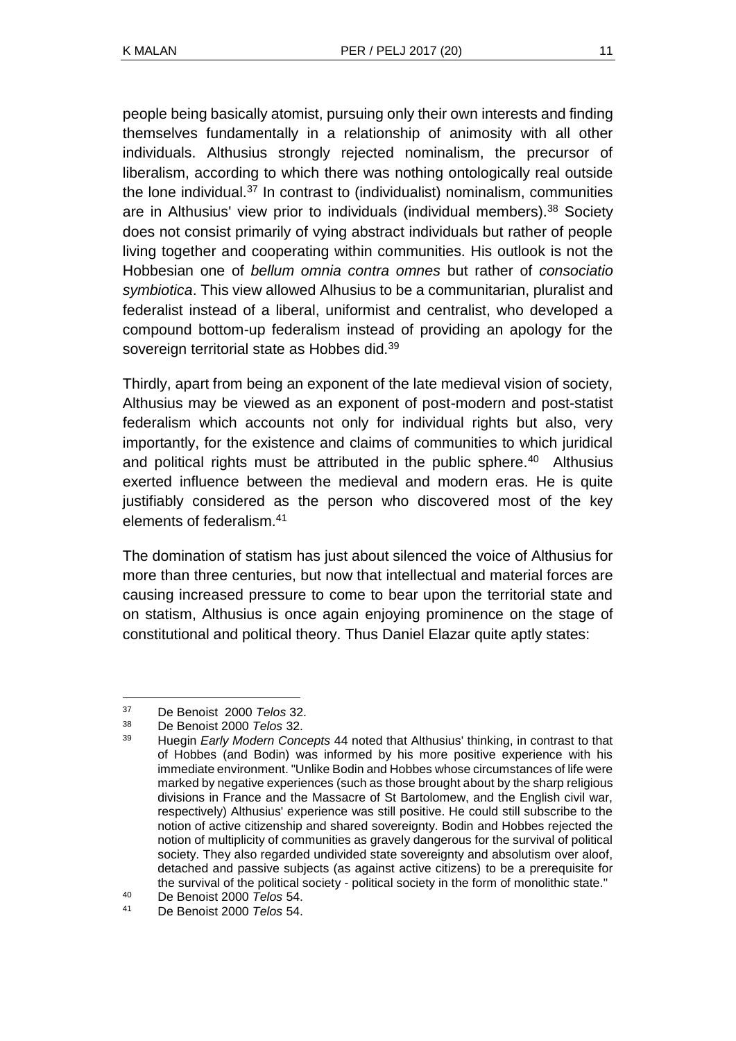people being basically atomist, pursuing only their own interests and finding themselves fundamentally in a relationship of animosity with all other individuals. Althusius strongly rejected nominalism, the precursor of liberalism, according to which there was nothing ontologically real outside the lone individual.<sup>37</sup> In contrast to (individualist) nominalism, communities are in Althusius' view prior to individuals (individual members).<sup>38</sup> Society does not consist primarily of vying abstract individuals but rather of people living together and cooperating within communities. His outlook is not the Hobbesian one of *bellum omnia contra omnes* but rather of *consociatio symbiotica*. This view allowed Alhusius to be a communitarian, pluralist and federalist instead of a liberal, uniformist and centralist, who developed a compound bottom-up federalism instead of providing an apology for the sovereign territorial state as Hobbes did.<sup>39</sup>

Thirdly, apart from being an exponent of the late medieval vision of society, Althusius may be viewed as an exponent of post-modern and post-statist federalism which accounts not only for individual rights but also, very importantly, for the existence and claims of communities to which juridical and political rights must be attributed in the public sphere. $40$  Althusius exerted influence between the medieval and modern eras. He is quite justifiably considered as the person who discovered most of the key elements of federalism.<sup>41</sup>

The domination of statism has just about silenced the voice of Althusius for more than three centuries, but now that intellectual and material forces are causing increased pressure to come to bear upon the territorial state and on statism, Althusius is once again enjoying prominence on the stage of constitutional and political theory. Thus Daniel Elazar quite aptly states:

<sup>37</sup> De Benoist 2000 *Telos* 32.

<sup>38</sup> De Benoist 2000 *Telos* 32.

<sup>39</sup> Huegin *Early Modern Concepts* 44 noted that Althusius' thinking, in contrast to that of Hobbes (and Bodin) was informed by his more positive experience with his immediate environment. "Unlike Bodin and Hobbes whose circumstances of life were marked by negative experiences (such as those brought about by the sharp religious divisions in France and the Massacre of St Bartolomew, and the English civil war, respectively) Althusius' experience was still positive. He could still subscribe to the notion of active citizenship and shared sovereignty. Bodin and Hobbes rejected the notion of multiplicity of communities as gravely dangerous for the survival of political society. They also regarded undivided state sovereignty and absolutism over aloof, detached and passive subjects (as against active citizens) to be a prerequisite for the survival of the political society - political society in the form of monolithic state."

<sup>40</sup> De Benoist 2000 *Telos* 54.

<sup>41</sup> De Benoist 2000 *Telos* 54.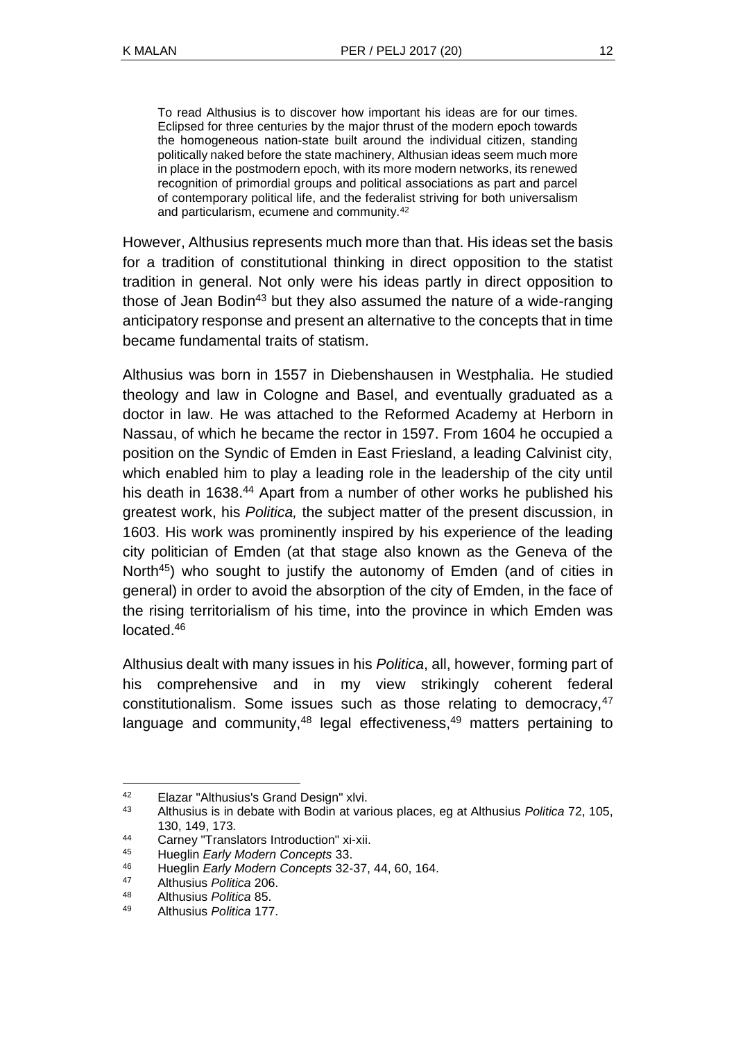To read Althusius is to discover how important his ideas are for our times. Eclipsed for three centuries by the major thrust of the modern epoch towards the homogeneous nation-state built around the individual citizen, standing politically naked before the state machinery, Althusian ideas seem much more in place in the postmodern epoch, with its more modern networks, its renewed recognition of primordial groups and political associations as part and parcel of contemporary political life, and the federalist striving for both universalism and particularism, ecumene and community.<sup>42</sup>

However, Althusius represents much more than that. His ideas set the basis for a tradition of constitutional thinking in direct opposition to the statist tradition in general. Not only were his ideas partly in direct opposition to those of Jean Bodin<sup>43</sup> but they also assumed the nature of a wide-ranging anticipatory response and present an alternative to the concepts that in time became fundamental traits of statism.

Althusius was born in 1557 in Diebenshausen in Westphalia. He studied theology and law in Cologne and Basel, and eventually graduated as a doctor in law. He was attached to the Reformed Academy at Herborn in Nassau, of which he became the rector in 1597. From 1604 he occupied a position on the Syndic of Emden in East Friesland, a leading Calvinist city, which enabled him to play a leading role in the leadership of the city until his death in 1638.<sup>44</sup> Apart from a number of other works he published his greatest work, his *Politica,* the subject matter of the present discussion, in 1603. His work was prominently inspired by his experience of the leading city politician of Emden (at that stage also known as the Geneva of the North<sup>45</sup>) who sought to justify the autonomy of Emden (and of cities in general) in order to avoid the absorption of the city of Emden, in the face of the rising territorialism of his time, into the province in which Emden was located 46

Althusius dealt with many issues in his *Politica*, all, however, forming part of his comprehensive and in my view strikingly coherent federal constitutionalism. Some issues such as those relating to democracy, <sup>47</sup> language and community,  $48$  legal effectiveness,  $49$  matters pertaining to

<sup>42</sup> Elazar "Althusius's Grand Design" xlvi.<br>43 Althusius is in debate with Bodin at var

<sup>43</sup> Althusius is in debate with Bodin at various places, eg at Althusius *Politica* 72, 105, 130, 149, 173*.*

<sup>44</sup> Carney "Translators Introduction" xi-xii.

<sup>45</sup> Hueglin *Early Modern Concepts* 33.

<sup>46</sup> Hueglin *Early Modern Concepts* 32-37, 44, 60, 164.

<sup>47</sup> Althusius *Politica* 206.

<sup>48</sup> Althusius *Politica* 85.

<sup>49</sup> Althusius *Politica* 177.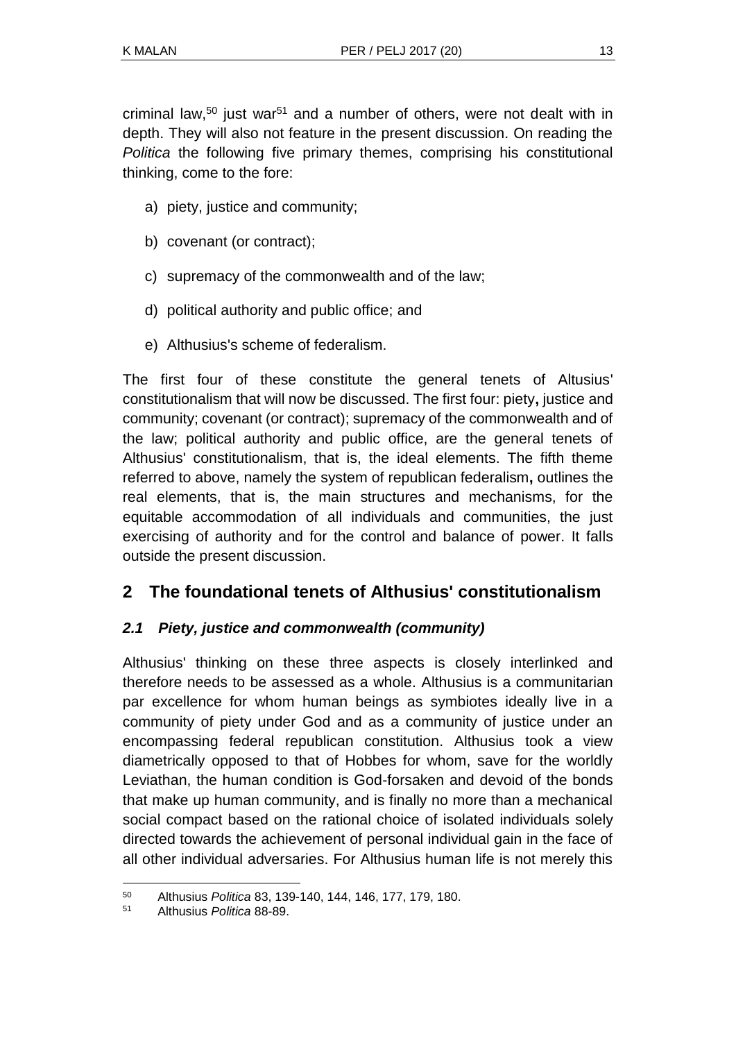criminal law,<sup>50</sup> just war<sup>51</sup> and a number of others, were not dealt with in depth. They will also not feature in the present discussion. On reading the *Politica* the following five primary themes, comprising his constitutional thinking, come to the fore:

- a) piety, justice and community;
- b) covenant (or contract);
- c) supremacy of the commonwealth and of the law;
- d) political authority and public office; and
- e) Althusius's scheme of federalism.

The first four of these constitute the general tenets of Altusius' constitutionalism that will now be discussed. The first four: piety**,** justice and community; covenant (or contract); supremacy of the commonwealth and of the law; political authority and public office, are the general tenets of Althusius' constitutionalism, that is, the ideal elements. The fifth theme referred to above, namely the system of republican federalism**,** outlines the real elements, that is, the main structures and mechanisms, for the equitable accommodation of all individuals and communities, the just exercising of authority and for the control and balance of power. It falls outside the present discussion.

# **2 The foundational tenets of Althusius' constitutionalism**

## *2.1 Piety, justice and commonwealth (community)*

Althusius' thinking on these three aspects is closely interlinked and therefore needs to be assessed as a whole. Althusius is a communitarian par excellence for whom human beings as symbiotes ideally live in a community of piety under God and as a community of justice under an encompassing federal republican constitution. Althusius took a view diametrically opposed to that of Hobbes for whom, save for the worldly Leviathan, the human condition is God-forsaken and devoid of the bonds that make up human community, and is finally no more than a mechanical social compact based on the rational choice of isolated individuals solely directed towards the achievement of personal individual gain in the face of all other individual adversaries. For Althusius human life is not merely this

<sup>50</sup> Althusius *Politica* 83, 139-140, 144, 146, 177, 179, 180.

<sup>51</sup> Althusius *Politica* 88-89.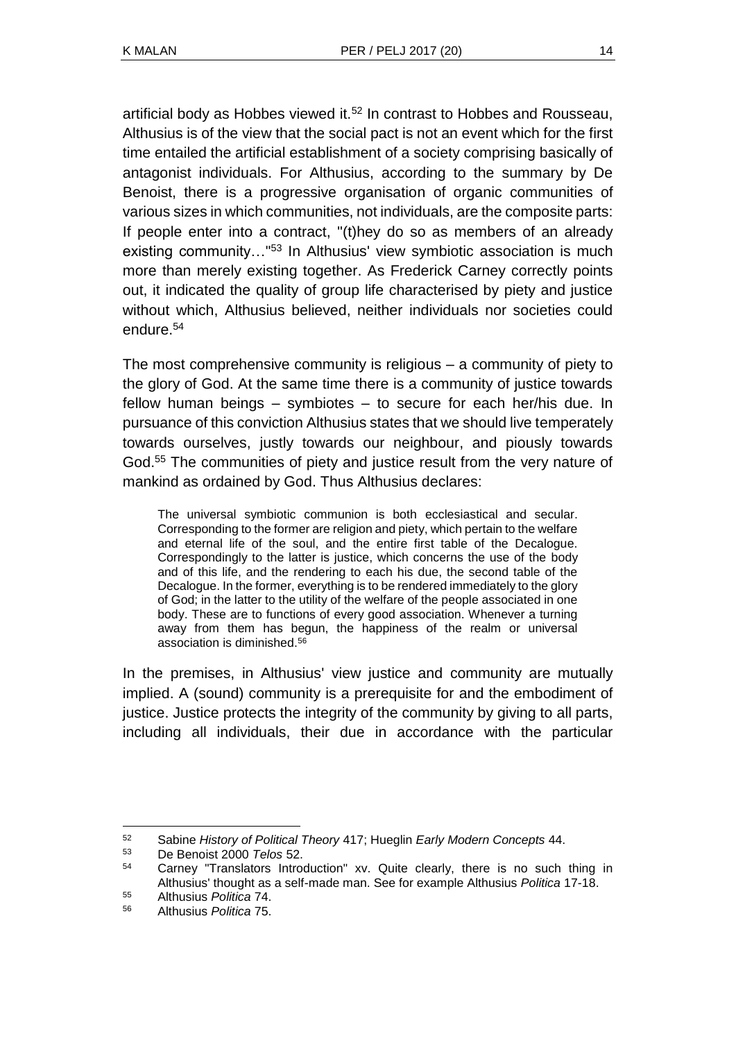artificial body as Hobbes viewed it.<sup>52</sup> In contrast to Hobbes and Rousseau, Althusius is of the view that the social pact is not an event which for the first time entailed the artificial establishment of a society comprising basically of antagonist individuals. For Althusius, according to the summary by De Benoist, there is a progressive organisation of organic communities of various sizes in which communities, not individuals, are the composite parts: If people enter into a contract, "(t)hey do so as members of an already existing community..."<sup>53</sup> In Althusius' view symbiotic association is much more than merely existing together. As Frederick Carney correctly points out, it indicated the quality of group life characterised by piety and justice without which, Althusius believed, neither individuals nor societies could endure.<sup>54</sup>

The most comprehensive community is religious – a community of piety to the glory of God. At the same time there is a community of justice towards fellow human beings – symbiotes – to secure for each her/his due. In pursuance of this conviction Althusius states that we should live temperately towards ourselves, justly towards our neighbour, and piously towards God.<sup>55</sup> The communities of piety and justice result from the very nature of mankind as ordained by God. Thus Althusius declares:

The universal symbiotic communion is both ecclesiastical and secular. Corresponding to the former are religion and piety, which pertain to the welfare and eternal life of the soul, and the entire first table of the Decalogue. Correspondingly to the latter is justice, which concerns the use of the body and of this life, and the rendering to each his due, the second table of the Decalogue. In the former, everything is to be rendered immediately to the glory of God; in the latter to the utility of the welfare of the people associated in one body. These are to functions of every good association. Whenever a turning away from them has begun, the happiness of the realm or universal association is diminished.<sup>56</sup>

In the premises, in Althusius' view justice and community are mutually implied. A (sound) community is a prerequisite for and the embodiment of justice. Justice protects the integrity of the community by giving to all parts, including all individuals, their due in accordance with the particular

<sup>52</sup> Sabine *History of Political Theory* 417; Hueglin *Early Modern Concepts* 44.

<sup>53</sup> De Benoist 2000 *Telos* 52.

<sup>54</sup> Carney "Translators Introduction" xv. Quite clearly, there is no such thing in Althusius' thought as a self-made man. See for example Althusius *Politica* 17-18.

<sup>55</sup> Althusius *Politica* 74.

<sup>56</sup> Althusius *Politica* 75.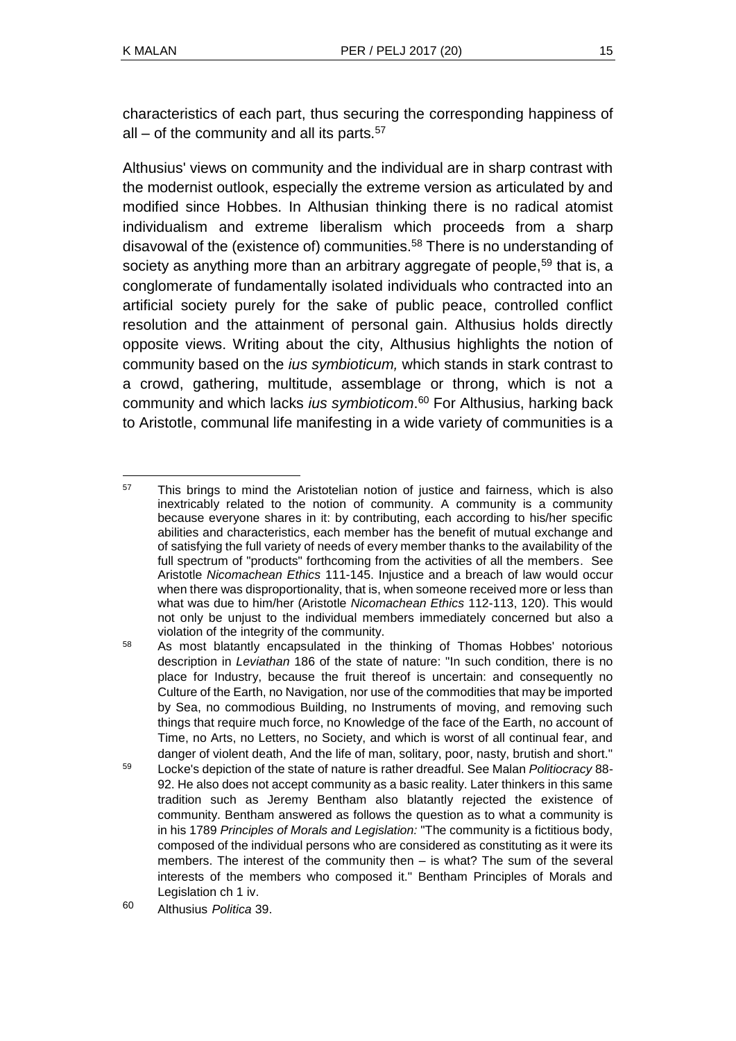characteristics of each part, thus securing the corresponding happiness of all – of the community and all its parts. $57$ 

Althusius' views on community and the individual are in sharp contrast with the modernist outlook, especially the extreme version as articulated by and modified since Hobbes. In Althusian thinking there is no radical atomist individualism and extreme liberalism which proceeds from a sharp disavowal of the (existence of) communities.<sup>58</sup> There is no understanding of society as anything more than an arbitrary aggregate of people,<sup>59</sup> that is, a conglomerate of fundamentally isolated individuals who contracted into an artificial society purely for the sake of public peace, controlled conflict resolution and the attainment of personal gain. Althusius holds directly opposite views. Writing about the city, Althusius highlights the notion of community based on the *ius symbioticum,* which stands in stark contrast to a crowd, gathering, multitude, assemblage or throng, which is not a community and which lacks *ius symbioticom*. <sup>60</sup> For Althusius, harking back to Aristotle, communal life manifesting in a wide variety of communities is a

l <sup>57</sup> This brings to mind the Aristotelian notion of justice and fairness, which is also inextricably related to the notion of community. A community is a community because everyone shares in it: by contributing, each according to his/her specific abilities and characteristics, each member has the benefit of mutual exchange and of satisfying the full variety of needs of every member thanks to the availability of the full spectrum of "products" forthcoming from the activities of all the members. See Aristotle *Nicomachean Ethics* 111-145. Injustice and a breach of law would occur when there was disproportionality, that is, when someone received more or less than what was due to him/her (Aristotle *Nicomachean Ethics* 112-113, 120). This would not only be unjust to the individual members immediately concerned but also a violation of the integrity of the community.

<sup>58</sup> As most blatantly encapsulated in the thinking of Thomas Hobbes' notorious description in *Leviathan* 186 of the state of nature: "In such condition, there is no place for Industry, because the fruit thereof is uncertain: and consequently no Culture of the Earth, no Navigation, nor use of the commodities that may be imported by Sea, no commodious Building, no Instruments of moving, and removing such things that require much force, no Knowledge of the face of the Earth, no account of Time, no Arts, no Letters, no Society, and which is worst of all continual fear, and danger of violent death, And the life of man, solitary, poor, nasty, brutish and short."

<sup>59</sup> Locke's depiction of the state of nature is rather dreadful. See Malan *Politiocracy* 88- 92. He also does not accept community as a basic reality. Later thinkers in this same tradition such as Jeremy Bentham also blatantly rejected the existence of community. Bentham answered as follows the question as to what a community is in his 1789 *Principles of Morals and Legislation:* "The community is a fictitious body, composed of the individual persons who are considered as constituting as it were its members. The interest of the community then – is what? The sum of the several interests of the members who composed it." Bentham Principles of Morals and Legislation ch 1 iv.

<sup>60</sup> Althusius *Politica* 39.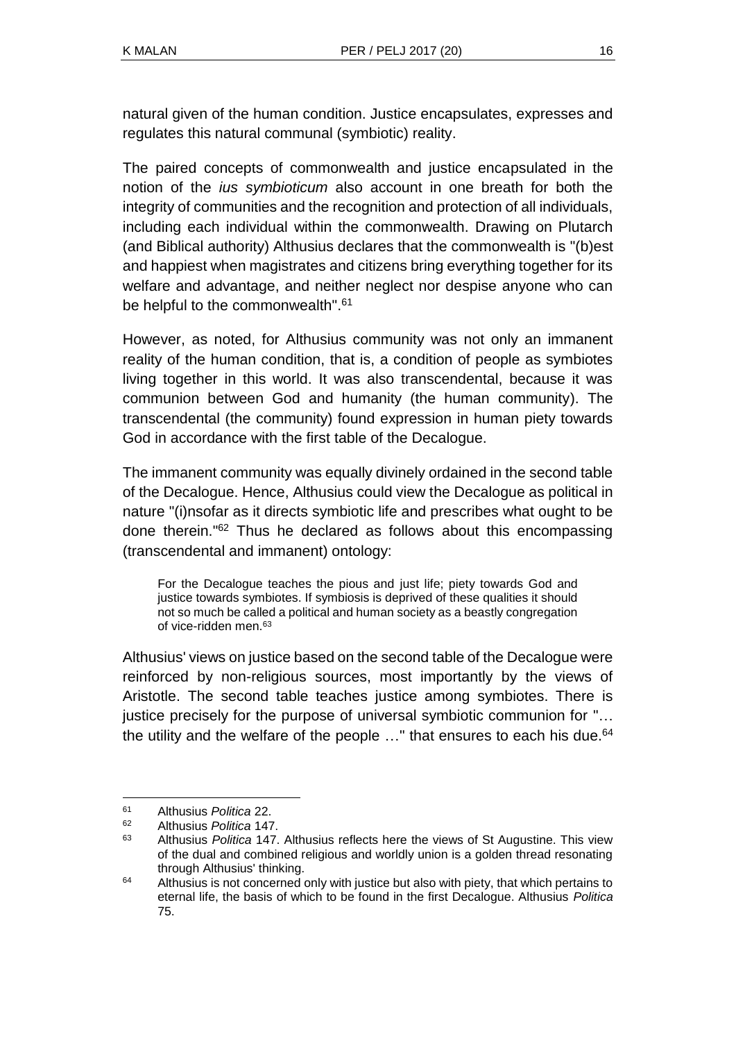natural given of the human condition. Justice encapsulates, expresses and regulates this natural communal (symbiotic) reality.

The paired concepts of commonwealth and justice encapsulated in the notion of the *ius symbioticum* also account in one breath for both the integrity of communities and the recognition and protection of all individuals, including each individual within the commonwealth. Drawing on Plutarch (and Biblical authority) Althusius declares that the commonwealth is "(b)est and happiest when magistrates and citizens bring everything together for its welfare and advantage, and neither neglect nor despise anyone who can be helpful to the commonwealth".<sup>61</sup>

However, as noted, for Althusius community was not only an immanent reality of the human condition, that is, a condition of people as symbiotes living together in this world. It was also transcendental, because it was communion between God and humanity (the human community). The transcendental (the community) found expression in human piety towards God in accordance with the first table of the Decalogue.

The immanent community was equally divinely ordained in the second table of the Decalogue. Hence, Althusius could view the Decalogue as political in nature "(i)nsofar as it directs symbiotic life and prescribes what ought to be done therein." <sup>62</sup> Thus he declared as follows about this encompassing (transcendental and immanent) ontology:

For the Decalogue teaches the pious and just life; piety towards God and justice towards symbiotes. If symbiosis is deprived of these qualities it should not so much be called a political and human society as a beastly congregation of vice-ridden men.<sup>63</sup>

Althusius' views on justice based on the second table of the Decalogue were reinforced by non-religious sources, most importantly by the views of Aristotle. The second table teaches justice among symbiotes. There is justice precisely for the purpose of universal symbiotic communion for "… the utility and the welfare of the people  $\ldots$ " that ensures to each his due.<sup>64</sup>

<sup>61</sup> Althusius *Politica* 22.

<sup>62</sup> Althusius *Politica* 147.

<sup>63</sup> Althusius *Politica* 147. Althusius reflects here the views of St Augustine. This view of the dual and combined religious and worldly union is a golden thread resonating through Althusius' thinking.

<sup>&</sup>lt;sup>64</sup> Althusius is not concerned only with justice but also with piety, that which pertains to eternal life, the basis of which to be found in the first Decalogue. Althusius *Politica* 75.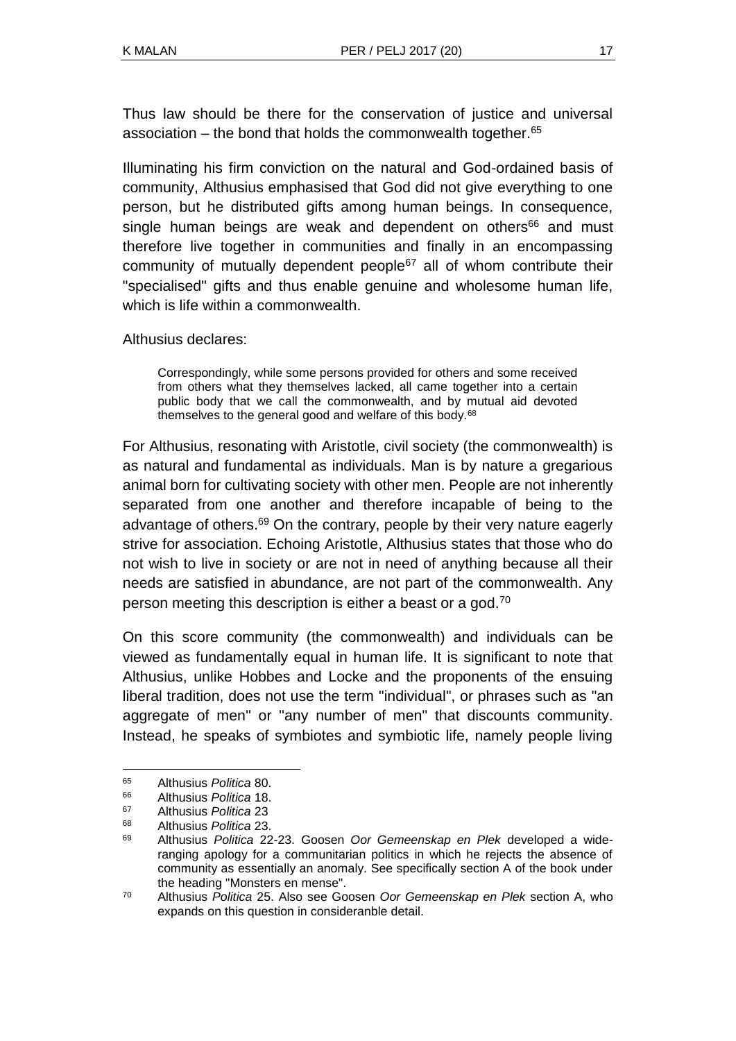Thus law should be there for the conservation of justice and universal association  $-$  the bond that holds the commonwealth together. $65$ 

Illuminating his firm conviction on the natural and God-ordained basis of community, Althusius emphasised that God did not give everything to one person, but he distributed gifts among human beings. In consequence, single human beings are weak and dependent on others<sup>66</sup> and must therefore live together in communities and finally in an encompassing community of mutually dependent people $67$  all of whom contribute their "specialised" gifts and thus enable genuine and wholesome human life, which is life within a commonwealth.

Althusius declares:

Correspondingly, while some persons provided for others and some received from others what they themselves lacked, all came together into a certain public body that we call the commonwealth, and by mutual aid devoted themselves to the general good and welfare of this body.<sup>68</sup>

For Althusius, resonating with Aristotle, civil society (the commonwealth) is as natural and fundamental as individuals. Man is by nature a gregarious animal born for cultivating society with other men. People are not inherently separated from one another and therefore incapable of being to the advantage of others.<sup>69</sup> On the contrary, people by their very nature eagerly strive for association. Echoing Aristotle, Althusius states that those who do not wish to live in society or are not in need of anything because all their needs are satisfied in abundance, are not part of the commonwealth. Any person meeting this description is either a beast or a god.<sup>70</sup>

On this score community (the commonwealth) and individuals can be viewed as fundamentally equal in human life. It is significant to note that Althusius, unlike Hobbes and Locke and the proponents of the ensuing liberal tradition, does not use the term "individual", or phrases such as "an aggregate of men" or "any number of men" that discounts community. Instead, he speaks of symbiotes and symbiotic life, namely people living

<sup>65</sup> <sup>65</sup> Althusius *Politica* 80.

<sup>66</sup> Althusius *Politica* 18.

<sup>67</sup> Althusius *Politica* 23

<sup>68</sup> Althusius *Politica* 23.

<sup>69</sup> Althusius *Politica* 22-23. Goosen *Oor Gemeenskap en Plek* developed a wideranging apology for a communitarian politics in which he rejects the absence of community as essentially an anomaly. See specifically section A of the book under the heading "Monsters en mense".

<sup>70</sup> Althusius *Politica* 25. Also see Goosen *Oor Gemeenskap en Plek* section A, who expands on this question in consideranble detail.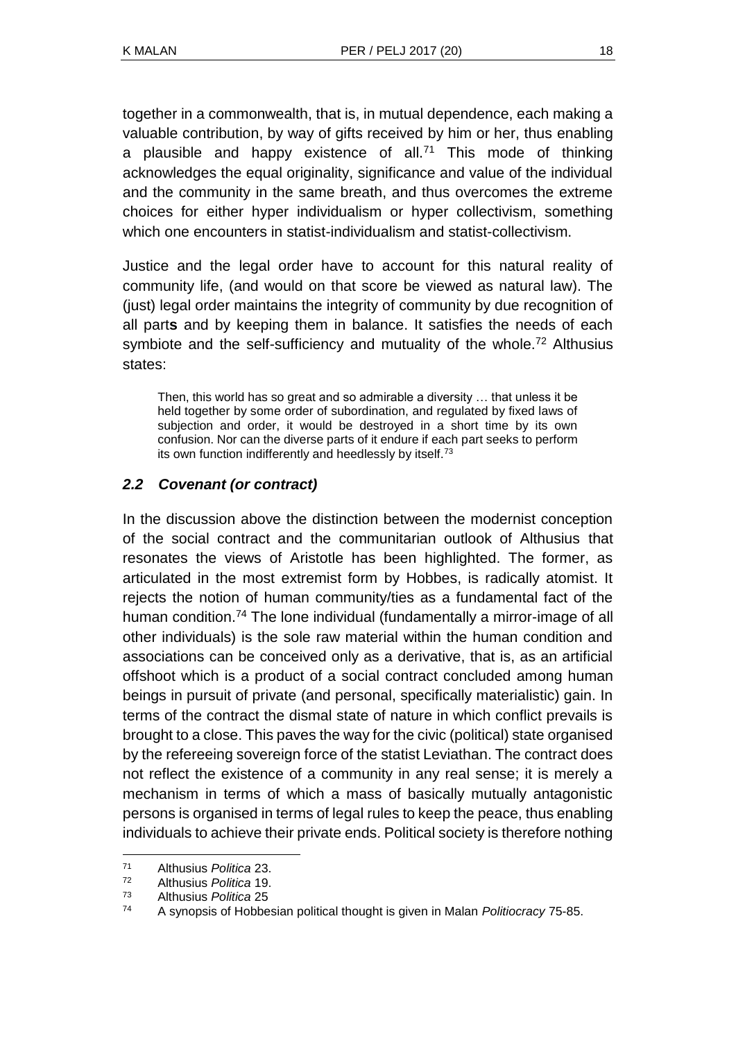together in a commonwealth, that is, in mutual dependence, each making a valuable contribution, by way of gifts received by him or her, thus enabling a plausible and happy existence of all.<sup>71</sup> This mode of thinking acknowledges the equal originality, significance and value of the individual and the community in the same breath, and thus overcomes the extreme choices for either hyper individualism or hyper collectivism, something which one encounters in statist-individualism and statist-collectivism.

Justice and the legal order have to account for this natural reality of community life, (and would on that score be viewed as natural law). The (just) legal order maintains the integrity of community by due recognition of all part**s** and by keeping them in balance. It satisfies the needs of each symbiote and the self-sufficiency and mutuality of the whole.<sup>72</sup> Althusius states:

Then, this world has so great and so admirable a diversity … that unless it be held together by some order of subordination, and regulated by fixed laws of subjection and order, it would be destroyed in a short time by its own confusion. Nor can the diverse parts of it endure if each part seeks to perform its own function indifferently and heedlessly by itself.<sup>73</sup>

## *2.2 Covenant (or contract)*

In the discussion above the distinction between the modernist conception of the social contract and the communitarian outlook of Althusius that resonates the views of Aristotle has been highlighted. The former, as articulated in the most extremist form by Hobbes, is radically atomist. It rejects the notion of human community/ties as a fundamental fact of the human condition.<sup>74</sup> The lone individual (fundamentally a mirror-image of all other individuals) is the sole raw material within the human condition and associations can be conceived only as a derivative, that is, as an artificial offshoot which is a product of a social contract concluded among human beings in pursuit of private (and personal, specifically materialistic) gain. In terms of the contract the dismal state of nature in which conflict prevails is brought to a close. This paves the way for the civic (political) state organised by the refereeing sovereign force of the statist Leviathan. The contract does not reflect the existence of a community in any real sense; it is merely a mechanism in terms of which a mass of basically mutually antagonistic persons is organised in terms of legal rules to keep the peace, thus enabling individuals to achieve their private ends. Political society is therefore nothing

<sup>71</sup> Althusius *Politica* 23.

<sup>72</sup> Althusius *Politica* 19.

<sup>73</sup> Althusius *Politica* 25

<sup>74</sup> A synopsis of Hobbesian political thought is given in Malan *Politiocracy* 75-85.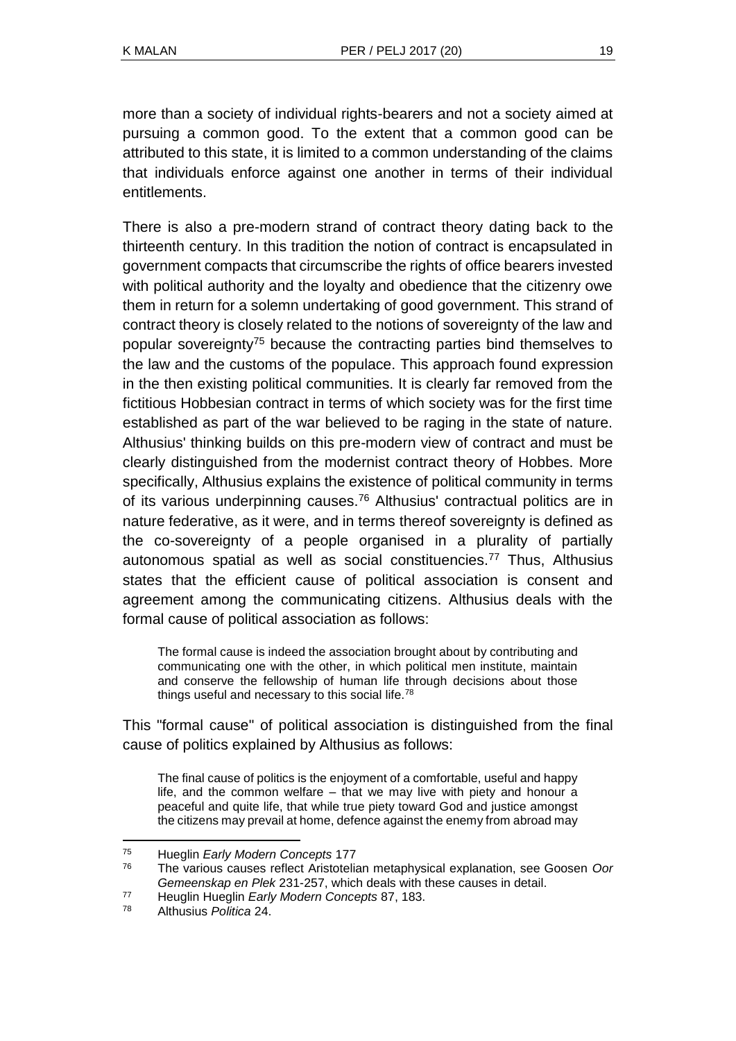more than a society of individual rights-bearers and not a society aimed at pursuing a common good. To the extent that a common good can be attributed to this state, it is limited to a common understanding of the claims that individuals enforce against one another in terms of their individual entitlements.

There is also a pre-modern strand of contract theory dating back to the thirteenth century. In this tradition the notion of contract is encapsulated in government compacts that circumscribe the rights of office bearers invested with political authority and the loyalty and obedience that the citizenry owe them in return for a solemn undertaking of good government. This strand of contract theory is closely related to the notions of sovereignty of the law and popular sovereignty<sup>75</sup> because the contracting parties bind themselves to the law and the customs of the populace. This approach found expression in the then existing political communities. It is clearly far removed from the fictitious Hobbesian contract in terms of which society was for the first time established as part of the war believed to be raging in the state of nature. Althusius' thinking builds on this pre-modern view of contract and must be clearly distinguished from the modernist contract theory of Hobbes. More specifically, Althusius explains the existence of political community in terms of its various underpinning causes.<sup>76</sup> Althusius' contractual politics are in nature federative, as it were, and in terms thereof sovereignty is defined as the co-sovereignty of a people organised in a plurality of partially autonomous spatial as well as social constituencies.<sup>77</sup> Thus, Althusius states that the efficient cause of political association is consent and agreement among the communicating citizens. Althusius deals with the formal cause of political association as follows:

The formal cause is indeed the association brought about by contributing and communicating one with the other, in which political men institute, maintain and conserve the fellowship of human life through decisions about those things useful and necessary to this social life.<sup>78</sup>

This "formal cause" of political association is distinguished from the final cause of politics explained by Althusius as follows:

The final cause of politics is the enjoyment of a comfortable, useful and happy life, and the common welfare – that we may live with piety and honour a peaceful and quite life, that while true piety toward God and justice amongst the citizens may prevail at home, defence against the enemy from abroad may

<sup>75</sup> Hueglin *Early Modern Concepts* 177

<sup>76</sup> The various causes reflect Aristotelian metaphysical explanation, see Goosen *Oor Gemeenskap en Plek* 231-257, which deals with these causes in detail.

<sup>77</sup> Heuglin Hueglin *Early Modern Concepts* 87, 183.

<sup>78</sup> Althusius *Politica* 24.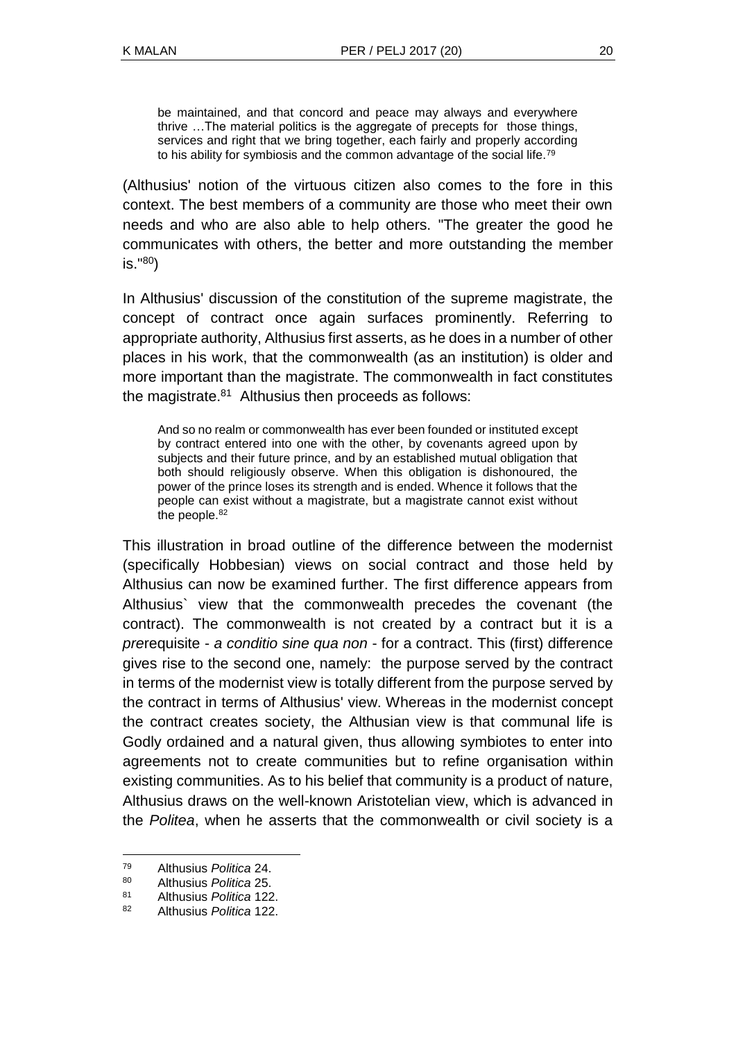be maintained, and that concord and peace may always and everywhere thrive …The material politics is the aggregate of precepts for those things, services and right that we bring together, each fairly and properly according to his ability for symbiosis and the common advantage of the social life.<sup>79</sup>

(Althusius' notion of the virtuous citizen also comes to the fore in this context. The best members of a community are those who meet their own needs and who are also able to help others. "The greater the good he communicates with others, the better and more outstanding the member is." <sup>80</sup>)

In Althusius' discussion of the constitution of the supreme magistrate, the concept of contract once again surfaces prominently. Referring to appropriate authority, Althusius first asserts, as he does in a number of other places in his work, that the commonwealth (as an institution) is older and more important than the magistrate. The commonwealth in fact constitutes the magistrate.<sup>81</sup> Althusius then proceeds as follows:

And so no realm or commonwealth has ever been founded or instituted except by contract entered into one with the other, by covenants agreed upon by subjects and their future prince, and by an established mutual obligation that both should religiously observe. When this obligation is dishonoured, the power of the prince loses its strength and is ended. Whence it follows that the people can exist without a magistrate, but a magistrate cannot exist without the people.<sup>82</sup>

This illustration in broad outline of the difference between the modernist (specifically Hobbesian) views on social contract and those held by Althusius can now be examined further. The first difference appears from Althusius` view that the commonwealth precedes the covenant (the contract). The commonwealth is not created by a contract but it is a *pre*requisite - *a conditio sine qua non* - for a contract. This (first) difference gives rise to the second one, namely: the purpose served by the contract in terms of the modernist view is totally different from the purpose served by the contract in terms of Althusius' view. Whereas in the modernist concept the contract creates society, the Althusian view is that communal life is Godly ordained and a natural given, thus allowing symbiotes to enter into agreements not to create communities but to refine organisation within existing communities. As to his belief that community is a product of nature, Althusius draws on the well-known Aristotelian view, which is advanced in the *Politea*, when he asserts that the commonwealth or civil society is a

<sup>79</sup> Althusius *Politica* 24.

<sup>80</sup> Althusius *Politica* 25.

<sup>81</sup> Althusius *Politica* 122.

<sup>82</sup> Althusius *Politica* 122.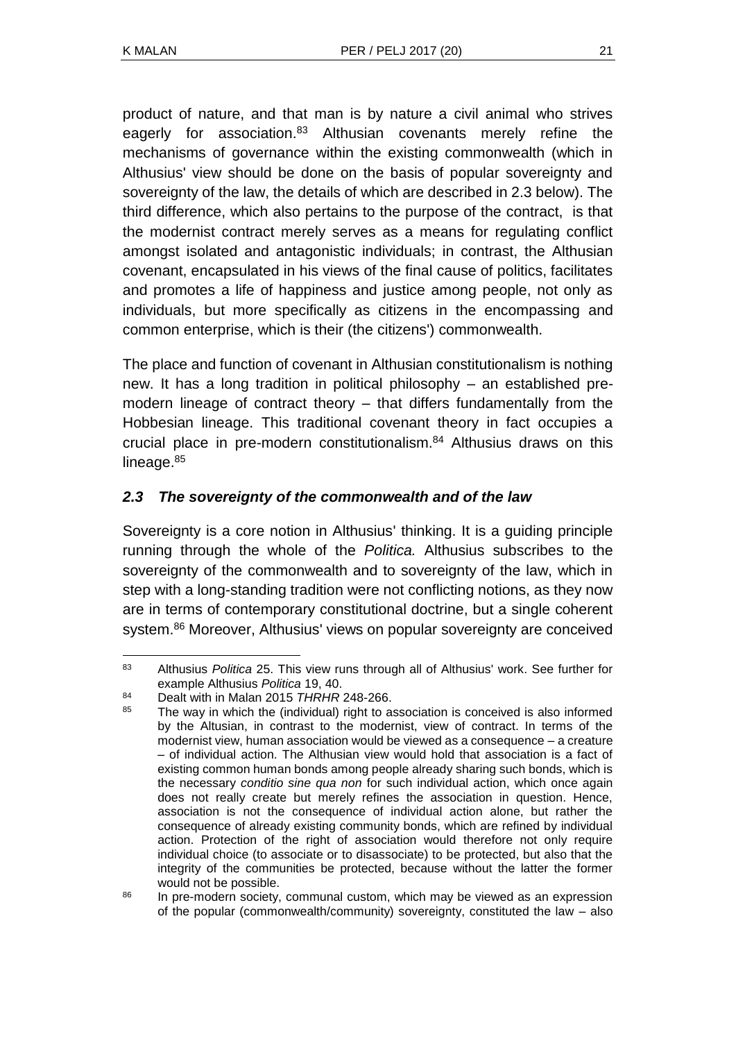product of nature, and that man is by nature a civil animal who strives eagerly for association.<sup>83</sup> Althusian covenants merely refine the mechanisms of governance within the existing commonwealth (which in Althusius' view should be done on the basis of popular sovereignty and sovereignty of the law, the details of which are described in 2.3 below). The third difference, which also pertains to the purpose of the contract, is that the modernist contract merely serves as a means for regulating conflict amongst isolated and antagonistic individuals; in contrast, the Althusian covenant, encapsulated in his views of the final cause of politics, facilitates and promotes a life of happiness and justice among people, not only as individuals, but more specifically as citizens in the encompassing and common enterprise, which is their (the citizens') commonwealth.

The place and function of covenant in Althusian constitutionalism is nothing new. It has a long tradition in political philosophy – an established premodern lineage of contract theory – that differs fundamentally from the Hobbesian lineage. This traditional covenant theory in fact occupies a crucial place in pre-modern constitutionalism.<sup>84</sup> Althusius draws on this lineage.<sup>85</sup>

## *2.3 The sovereignty of the commonwealth and of the law*

Sovereignty is a core notion in Althusius' thinking. It is a guiding principle running through the whole of the *Politica.* Althusius subscribes to the sovereignty of the commonwealth and to sovereignty of the law, which in step with a long-standing tradition were not conflicting notions, as they now are in terms of contemporary constitutional doctrine, but a single coherent system.<sup>86</sup> Moreover, Althusius' views on popular sovereignty are conceived

l <sup>83</sup> Althusius *Politica* 25. This view runs through all of Althusius' work. See further for example Althusius *Politica* 19, 40.

<sup>84</sup> Dealt with in Malan 2015 *THRHR* 248-266.<br>85 The way in which the (individual) right to a

The way in which the (individual) right to association is conceived is also informed by the Altusian, in contrast to the modernist, view of contract. In terms of the modernist view, human association would be viewed as a consequence – a creature – of individual action. The Althusian view would hold that association is a fact of existing common human bonds among people already sharing such bonds, which is the necessary *conditio sine qua non* for such individual action, which once again does not really create but merely refines the association in question. Hence, association is not the consequence of individual action alone, but rather the consequence of already existing community bonds, which are refined by individual action. Protection of the right of association would therefore not only require individual choice (to associate or to disassociate) to be protected, but also that the integrity of the communities be protected, because without the latter the former would not be possible.

<sup>&</sup>lt;sup>86</sup> In pre-modern society, communal custom, which may be viewed as an expression of the popular (commonwealth/community) sovereignty, constituted the law – also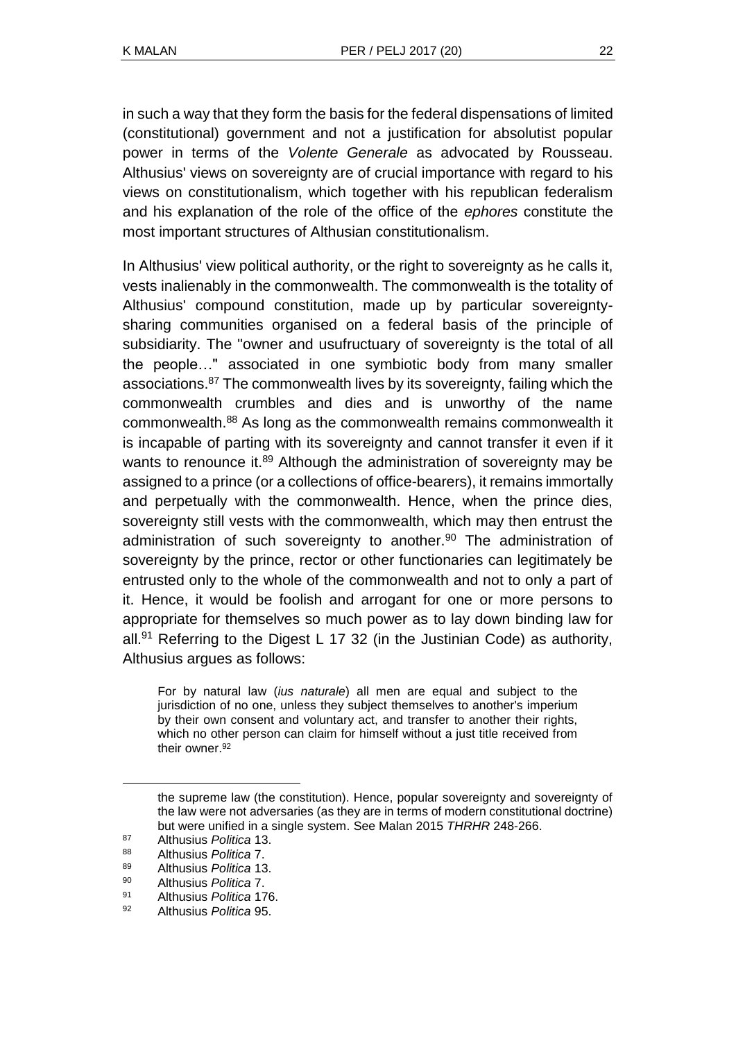in such a way that they form the basis for the federal dispensations of limited (constitutional) government and not a justification for absolutist popular power in terms of the *Volente Generale* as advocated by Rousseau. Althusius' views on sovereignty are of crucial importance with regard to his views on constitutionalism, which together with his republican federalism and his explanation of the role of the office of the *ephores* constitute the most important structures of Althusian constitutionalism.

In Althusius' view political authority, or the right to sovereignty as he calls it, vests inalienably in the commonwealth. The commonwealth is the totality of Althusius' compound constitution, made up by particular sovereigntysharing communities organised on a federal basis of the principle of subsidiarity. The "owner and usufructuary of sovereignty is the total of all the people…" associated in one symbiotic body from many smaller associations.<sup>87</sup> The commonwealth lives by its sovereignty, failing which the commonwealth crumbles and dies and is unworthy of the name commonwealth.<sup>88</sup> As long as the commonwealth remains commonwealth it is incapable of parting with its sovereignty and cannot transfer it even if it wants to renounce it.<sup>89</sup> Although the administration of sovereignty may be assigned to a prince (or a collections of office-bearers), it remains immortally and perpetually with the commonwealth. Hence, when the prince dies, sovereignty still vests with the commonwealth, which may then entrust the administration of such sovereignty to another. $90$  The administration of sovereignty by the prince, rector or other functionaries can legitimately be entrusted only to the whole of the commonwealth and not to only a part of it. Hence, it would be foolish and arrogant for one or more persons to appropriate for themselves so much power as to lay down binding law for all.<sup>91</sup> Referring to the Digest L 17 32 (in the Justinian Code) as authority, Althusius argues as follows:

For by natural law (*ius naturale*) all men are equal and subject to the jurisdiction of no one, unless they subject themselves to another's imperium by their own consent and voluntary act, and transfer to another their rights, which no other person can claim for himself without a just title received from their owner.<sup>92</sup>

the supreme law (the constitution). Hence, popular sovereignty and sovereignty of the law were not adversaries (as they are in terms of modern constitutional doctrine) but were unified in a single system. See Malan 2015 *THRHR* 248-266.

<sup>87</sup> Althusius *Politica* 13.

<sup>88</sup> Althusius *Politica* 7.

<sup>89</sup> Althusius *Politica* 13.

<sup>90</sup> Althusius *Politica* 7.

<sup>91</sup> Althusius *Politica* 176.

<sup>92</sup> Althusius *Politica* 95.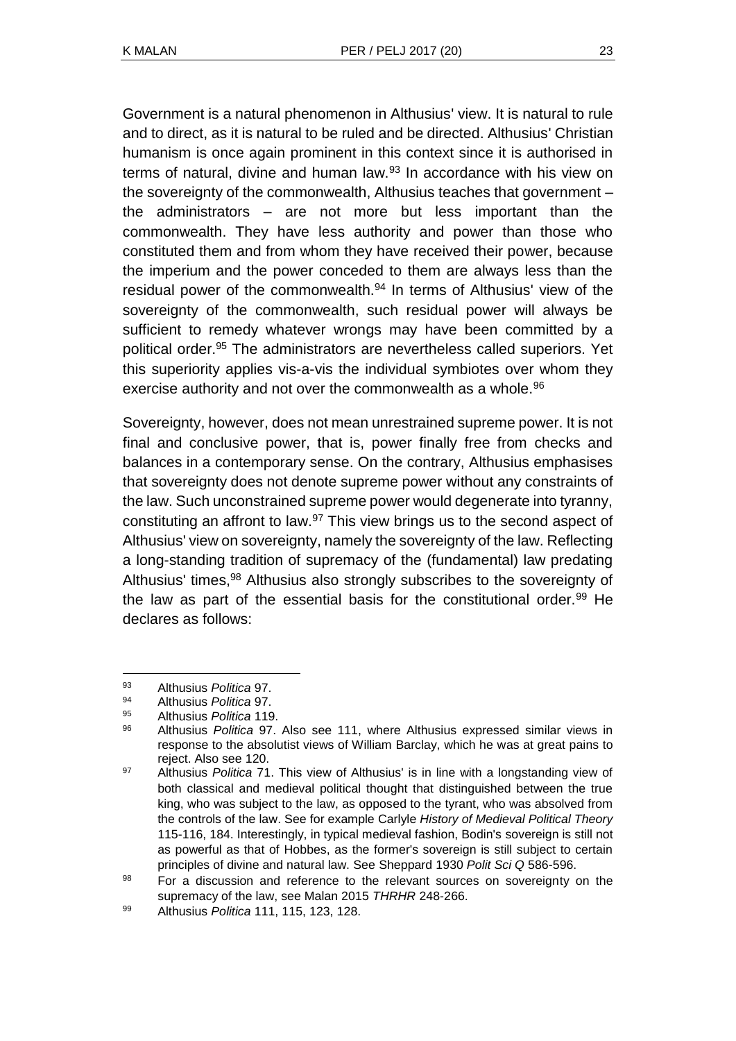Government is a natural phenomenon in Althusius' view. It is natural to rule and to direct, as it is natural to be ruled and be directed. Althusius' Christian humanism is once again prominent in this context since it is authorised in terms of natural, divine and human law.<sup>93</sup> In accordance with his view on the sovereignty of the commonwealth, Althusius teaches that government – the administrators – are not more but less important than the commonwealth. They have less authority and power than those who constituted them and from whom they have received their power, because the imperium and the power conceded to them are always less than the residual power of the commonwealth.<sup>94</sup> In terms of Althusius' view of the sovereignty of the commonwealth, such residual power will always be sufficient to remedy whatever wrongs may have been committed by a political order.<sup>95</sup> The administrators are nevertheless called superiors. Yet this superiority applies vis-a-vis the individual symbiotes over whom they exercise authority and not over the commonwealth as a whole.<sup>96</sup>

Sovereignty, however, does not mean unrestrained supreme power. It is not final and conclusive power, that is, power finally free from checks and balances in a contemporary sense. On the contrary, Althusius emphasises that sovereignty does not denote supreme power without any constraints of the law. Such unconstrained supreme power would degenerate into tyranny, constituting an affront to law.<sup>97</sup> This view brings us to the second aspect of Althusius' view on sovereignty, namely the sovereignty of the law. Reflecting a long-standing tradition of supremacy of the (fundamental) law predating Althusius' times,<sup>98</sup> Althusius also strongly subscribes to the sovereignty of the law as part of the essential basis for the constitutional order.<sup>99</sup> He declares as follows:

<sup>93</sup> <sup>93</sup> Althusius *Politica* 97.

<sup>94</sup> Althusius *Politica* 97.

<sup>95</sup> Althusius *Politica* 119.

<sup>96</sup> Althusius *Politica* 97. Also see 111, where Althusius expressed similar views in response to the absolutist views of William Barclay, which he was at great pains to reject. Also see 120.

<sup>97</sup> Althusius *Politica* 71. This view of Althusius' is in line with a longstanding view of both classical and medieval political thought that distinguished between the true king, who was subject to the law, as opposed to the tyrant, who was absolved from the controls of the law. See for example Carlyle *History of Medieval Political Theory*  115-116, 184. Interestingly, in typical medieval fashion, Bodin's sovereign is still not as powerful as that of Hobbes, as the former's sovereign is still subject to certain principles of divine and natural law. See Sheppard 1930 *Polit Sci Q* 586-596.

<sup>98</sup> For a discussion and reference to the relevant sources on sovereignty on the supremacy of the law, see Malan 2015 *THRHR* 248-266.

<sup>99</sup> Althusius *Politica* 111, 115, 123, 128.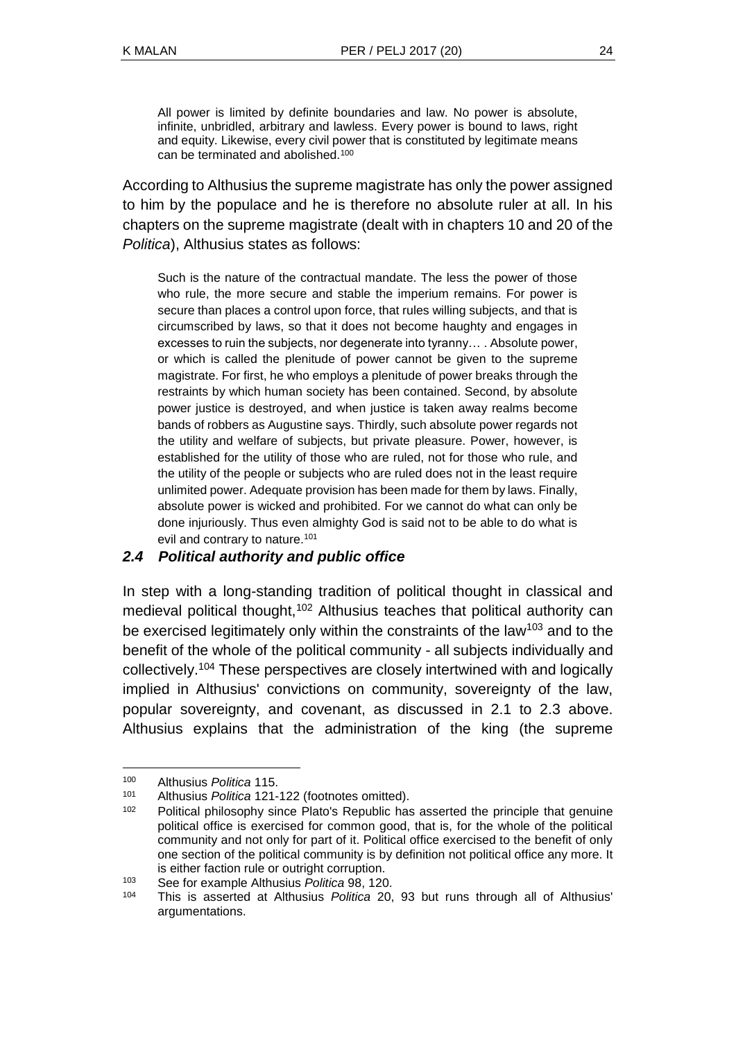All power is limited by definite boundaries and law. No power is absolute, infinite, unbridled, arbitrary and lawless. Every power is bound to laws, right and equity. Likewise, every civil power that is constituted by legitimate means can be terminated and abolished.<sup>100</sup>

According to Althusius the supreme magistrate has only the power assigned to him by the populace and he is therefore no absolute ruler at all. In his chapters on the supreme magistrate (dealt with in chapters 10 and 20 of the *Politica*), Althusius states as follows:

Such is the nature of the contractual mandate. The less the power of those who rule, the more secure and stable the imperium remains. For power is secure than places a control upon force, that rules willing subjects, and that is circumscribed by laws, so that it does not become haughty and engages in excesses to ruin the subjects, nor degenerate into tyranny… . Absolute power, or which is called the plenitude of power cannot be given to the supreme magistrate. For first, he who employs a plenitude of power breaks through the restraints by which human society has been contained. Second, by absolute power justice is destroyed, and when justice is taken away realms become bands of robbers as Augustine says. Thirdly, such absolute power regards not the utility and welfare of subjects, but private pleasure. Power, however, is established for the utility of those who are ruled, not for those who rule, and the utility of the people or subjects who are ruled does not in the least require unlimited power. Adequate provision has been made for them by laws. Finally, absolute power is wicked and prohibited. For we cannot do what can only be done injuriously. Thus even almighty God is said not to be able to do what is evil and contrary to nature.<sup>101</sup>

### *2.4 Political authority and public office*

In step with a long-standing tradition of political thought in classical and medieval political thought,<sup>102</sup> Althusius teaches that political authority can be exercised legitimately only within the constraints of the law<sup>103</sup> and to the benefit of the whole of the political community - all subjects individually and collectively.<sup>104</sup> These perspectives are closely intertwined with and logically implied in Althusius' convictions on community, sovereignty of the law, popular sovereignty, and covenant, as discussed in 2.1 to 2.3 above. Althusius explains that the administration of the king (the supreme

<sup>100</sup> Althusius *Politica* 115.

<sup>101</sup> Althusius *Politica* 121-122 (footnotes omitted).

Political philosophy since Plato's Republic has asserted the principle that genuine political office is exercised for common good, that is, for the whole of the political community and not only for part of it. Political office exercised to the benefit of only one section of the political community is by definition not political office any more. It is either faction rule or outright corruption.

<sup>103</sup> See for example Althusius *Politica* 98, 120.

<sup>104</sup> This is asserted at Althusius *Politica* 20, 93 but runs through all of Althusius' argumentations.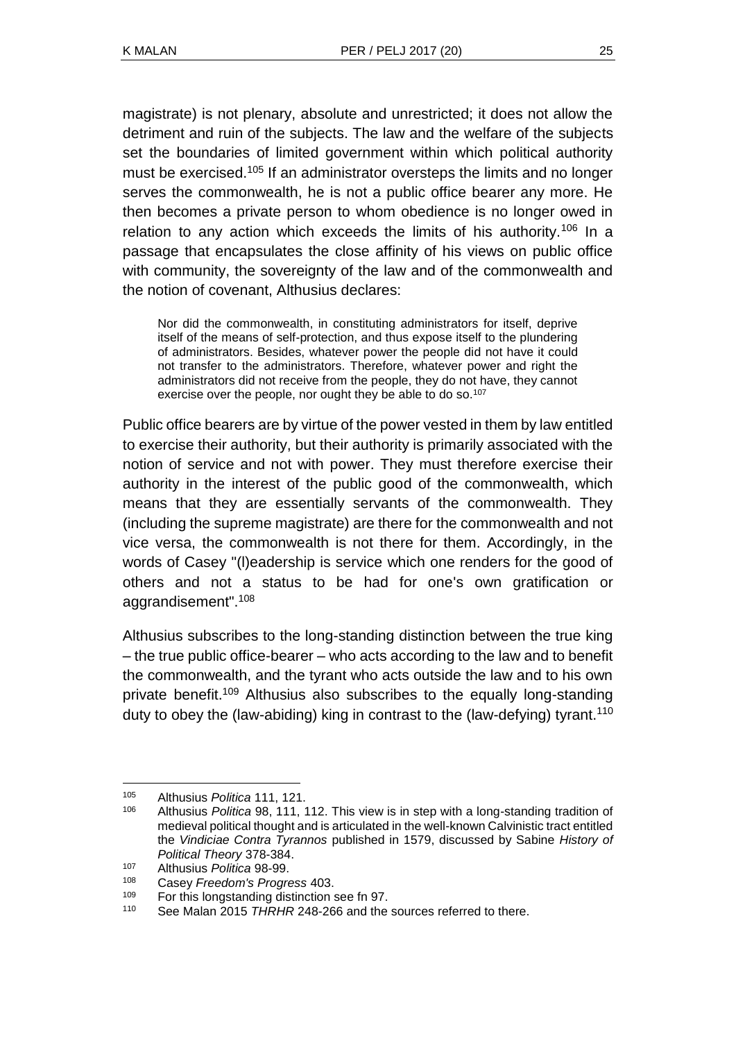magistrate) is not plenary, absolute and unrestricted; it does not allow the detriment and ruin of the subjects. The law and the welfare of the subjects set the boundaries of limited government within which political authority must be exercised.<sup>105</sup> If an administrator oversteps the limits and no longer serves the commonwealth, he is not a public office bearer any more. He then becomes a private person to whom obedience is no longer owed in relation to any action which exceeds the limits of his authority.<sup>106</sup> In a passage that encapsulates the close affinity of his views on public office with community, the sovereignty of the law and of the commonwealth and the notion of covenant, Althusius declares:

Nor did the commonwealth, in constituting administrators for itself, deprive itself of the means of self-protection, and thus expose itself to the plundering of administrators. Besides, whatever power the people did not have it could not transfer to the administrators. Therefore, whatever power and right the administrators did not receive from the people, they do not have, they cannot exercise over the people, nor ought they be able to do so.<sup>107</sup>

Public office bearers are by virtue of the power vested in them by law entitled to exercise their authority, but their authority is primarily associated with the notion of service and not with power. They must therefore exercise their authority in the interest of the public good of the commonwealth, which means that they are essentially servants of the commonwealth. They (including the supreme magistrate) are there for the commonwealth and not vice versa, the commonwealth is not there for them. Accordingly, in the words of Casey "(l)eadership is service which one renders for the good of others and not a status to be had for one's own gratification or aggrandisement".<sup>108</sup>

Althusius subscribes to the long-standing distinction between the true king – the true public office-bearer – who acts according to the law and to benefit the commonwealth, and the tyrant who acts outside the law and to his own private benefit.<sup>109</sup> Althusius also subscribes to the equally long-standing duty to obey the (law-abiding) king in contrast to the (law-defying) tyrant.<sup>110</sup>

<sup>105</sup> Althusius *Politica* 111, 121.

<sup>106</sup> Althusius *Politica* 98, 111, 112. This view is in step with a long-standing tradition of medieval political thought and is articulated in the well-known Calvinistic tract entitled the *Vindiciae Contra Tyrannos* published in 1579, discussed by Sabine *History of Political Theory* 378-384.

<sup>107</sup> Althusius *Politica* 98-99.

<sup>108</sup> Casey *Freedom's Progress* 403.

For this longstanding distinction see fn 97.

<sup>110</sup> See Malan 2015 *THRHR* 248-266 and the sources referred to there.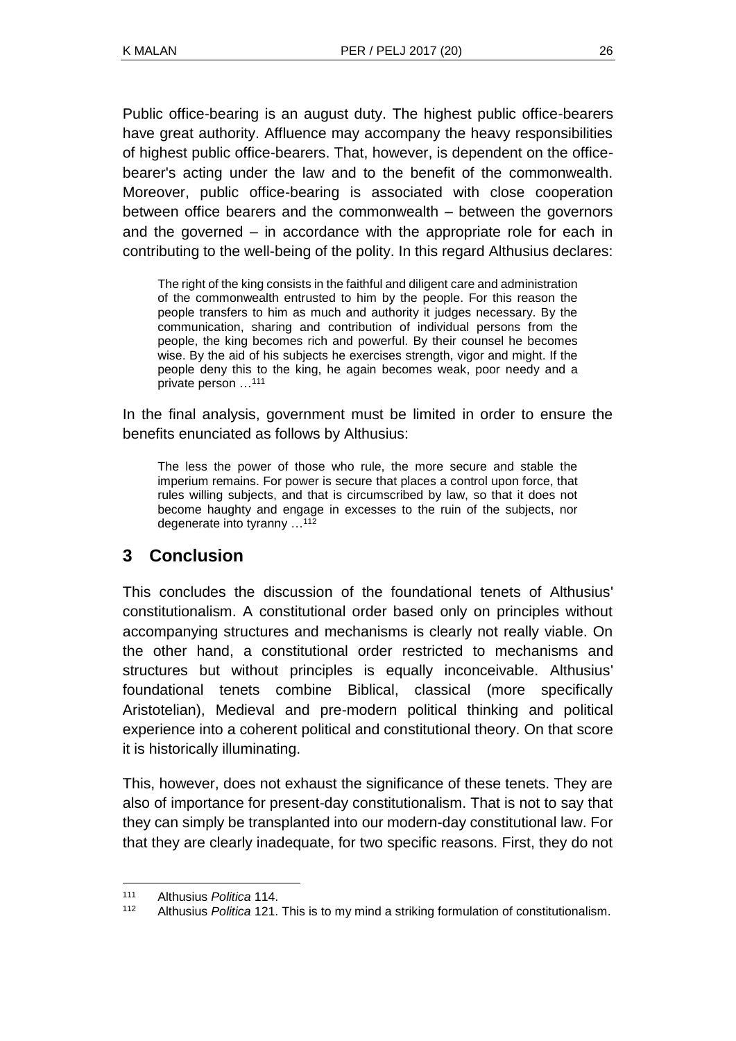Public office-bearing is an august duty. The highest public office-bearers have great authority. Affluence may accompany the heavy responsibilities of highest public office-bearers. That, however, is dependent on the officebearer's acting under the law and to the benefit of the commonwealth. Moreover, public office-bearing is associated with close cooperation between office bearers and the commonwealth – between the governors and the governed – in accordance with the appropriate role for each in contributing to the well-being of the polity. In this regard Althusius declares:

The right of the king consists in the faithful and diligent care and administration of the commonwealth entrusted to him by the people. For this reason the people transfers to him as much and authority it judges necessary. By the communication, sharing and contribution of individual persons from the people, the king becomes rich and powerful. By their counsel he becomes wise. By the aid of his subjects he exercises strength, vigor and might. If the people deny this to the king, he again becomes weak, poor needy and a private person …<sup>111</sup>

In the final analysis, government must be limited in order to ensure the benefits enunciated as follows by Althusius:

The less the power of those who rule, the more secure and stable the imperium remains. For power is secure that places a control upon force, that rules willing subjects, and that is circumscribed by law, so that it does not become haughty and engage in excesses to the ruin of the subjects, nor degenerate into tyranny …<sup>112</sup>

# **3 Conclusion**

This concludes the discussion of the foundational tenets of Althusius' constitutionalism. A constitutional order based only on principles without accompanying structures and mechanisms is clearly not really viable. On the other hand, a constitutional order restricted to mechanisms and structures but without principles is equally inconceivable. Althusius' foundational tenets combine Biblical, classical (more specifically Aristotelian), Medieval and pre-modern political thinking and political experience into a coherent political and constitutional theory. On that score it is historically illuminating.

This, however, does not exhaust the significance of these tenets. They are also of importance for present-day constitutionalism. That is not to say that they can simply be transplanted into our modern-day constitutional law. For that they are clearly inadequate, for two specific reasons. First, they do not

<sup>111</sup> Althusius *Politica* 114.

<sup>112</sup> Althusius *Politica* 121. This is to my mind a striking formulation of constitutionalism.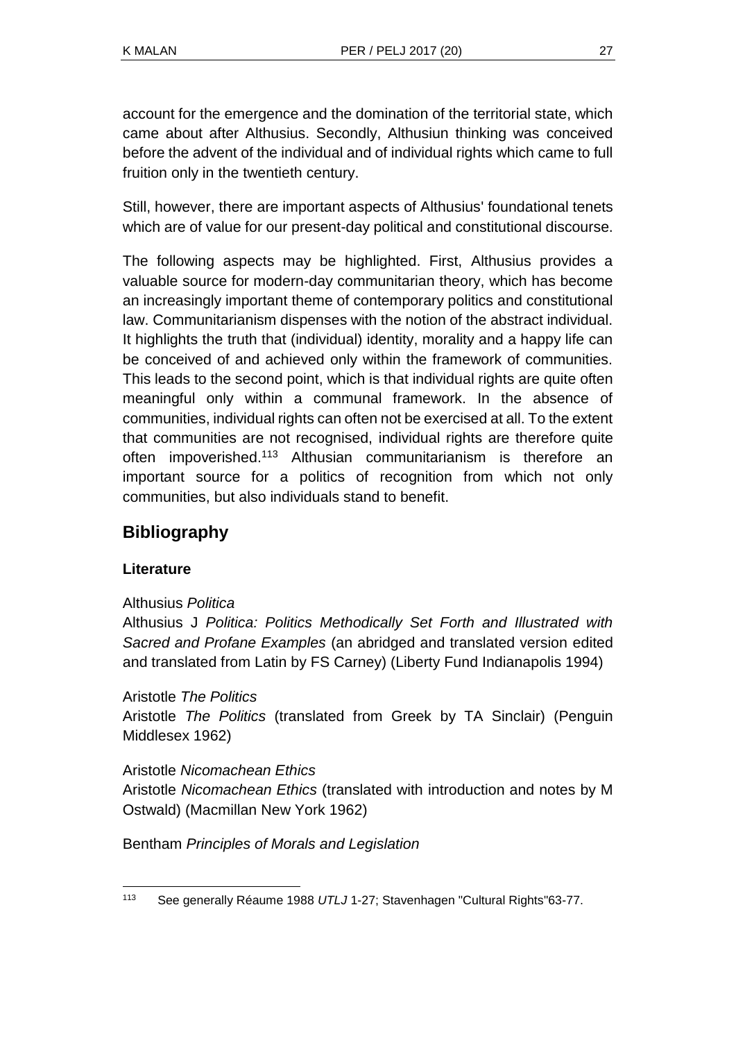account for the emergence and the domination of the territorial state, which came about after Althusius. Secondly, Althusiun thinking was conceived before the advent of the individual and of individual rights which came to full fruition only in the twentieth century.

Still, however, there are important aspects of Althusius' foundational tenets which are of value for our present-day political and constitutional discourse.

The following aspects may be highlighted. First, Althusius provides a valuable source for modern-day communitarian theory, which has become an increasingly important theme of contemporary politics and constitutional law. Communitarianism dispenses with the notion of the abstract individual. It highlights the truth that (individual) identity, morality and a happy life can be conceived of and achieved only within the framework of communities. This leads to the second point, which is that individual rights are quite often meaningful only within a communal framework. In the absence of communities, individual rights can often not be exercised at all. To the extent that communities are not recognised, individual rights are therefore quite often impoverished.<sup>113</sup> Althusian communitarianism is therefore an important source for a politics of recognition from which not only communities, but also individuals stand to benefit.

# **Bibliography**

## **Literature**

### Althusius *Politica*

Althusius J *Politica: Politics Methodically Set Forth and Illustrated with Sacred and Profane Examples* (an abridged and translated version edited and translated from Latin by FS Carney) (Liberty Fund Indianapolis 1994)

### Aristotle *The Politics*

Aristotle *The Politics* (translated from Greek by TA Sinclair) (Penguin Middlesex 1962)

### Aristotle *Nicomachean Ethics*

Aristotle *Nicomachean Ethics* (translated with introduction and notes by M Ostwald) (Macmillan New York 1962)

Bentham *Principles of Morals and Legislation*

l <sup>113</sup> See generally Réaume 1988 *UTLJ* 1-27; Stavenhagen "Cultural Rights"63-77.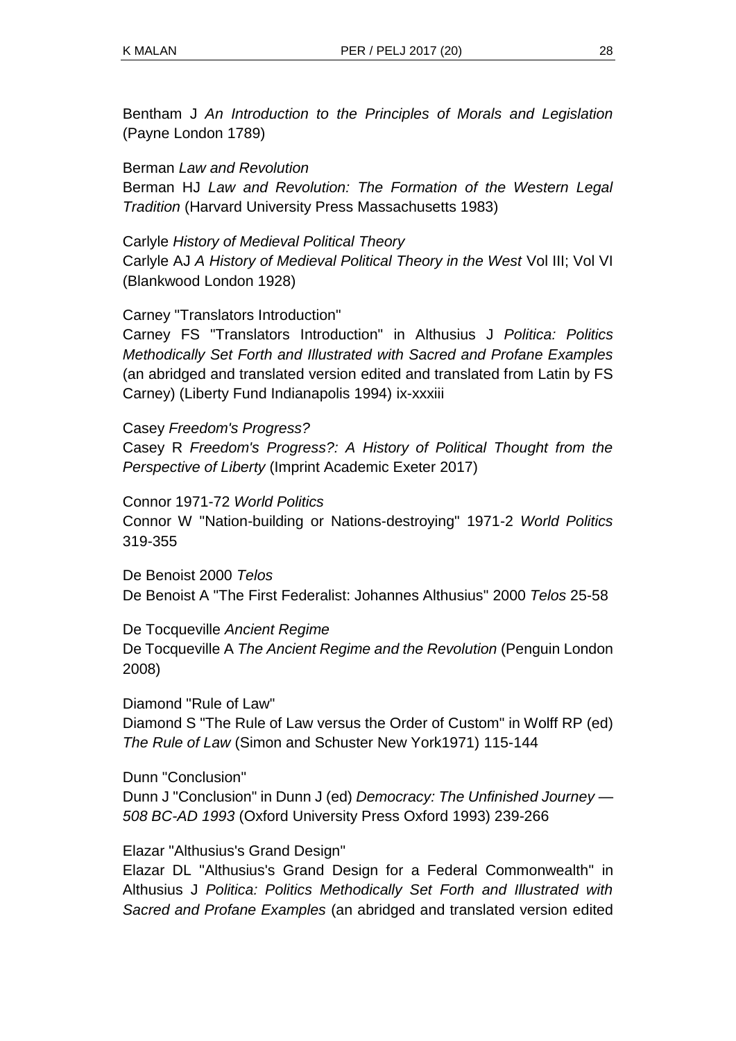Bentham J *An Introduction to the Principles of Morals and Legislation* (Payne London 1789)

Berman *Law and Revolution*

Berman HJ *Law and Revolution: The Formation of the Western Legal Tradition* (Harvard University Press Massachusetts 1983)

Carlyle *History of Medieval Political Theory*

Carlyle AJ *A History of Medieval Political Theory in the West* Vol III; Vol VI (Blankwood London 1928)

Carney "Translators Introduction"

Carney FS "Translators Introduction" in Althusius J *Politica: Politics Methodically Set Forth and Illustrated with Sacred and Profane Examples* (an abridged and translated version edited and translated from Latin by FS Carney) (Liberty Fund Indianapolis 1994) ix-xxxiii

Casey *Freedom's Progress?* Casey R *Freedom's Progress?: A History of Political Thought from the Perspective of Liberty* (Imprint Academic Exeter 2017)

Connor 1971-72 *World Politics*

Connor W "Nation-building or Nations-destroying" 1971-2 *World Politics*  319-355

De Benoist 2000 *Telos* De Benoist A "The First Federalist: Johannes Althusius" 2000 *Telos* 25-58

De Tocqueville *Ancient Regime* De Tocqueville A *The Ancient Regime and the Revolution* (Penguin London 2008)

Diamond "Rule of Law" Diamond S "The Rule of Law versus the Order of Custom" in Wolff RP (ed) *The Rule of Law* (Simon and Schuster New York1971) 115-144

Dunn "Conclusion" Dunn J "Conclusion" in Dunn J (ed) *Democracy: The Unfinished Journey — 508 BC-AD 1993* (Oxford University Press Oxford 1993) 239-266

Elazar "Althusius's Grand Design"

Elazar DL "Althusius's Grand Design for a Federal Commonwealth" in Althusius J *Politica: Politics Methodically Set Forth and Illustrated with Sacred and Profane Examples* (an abridged and translated version edited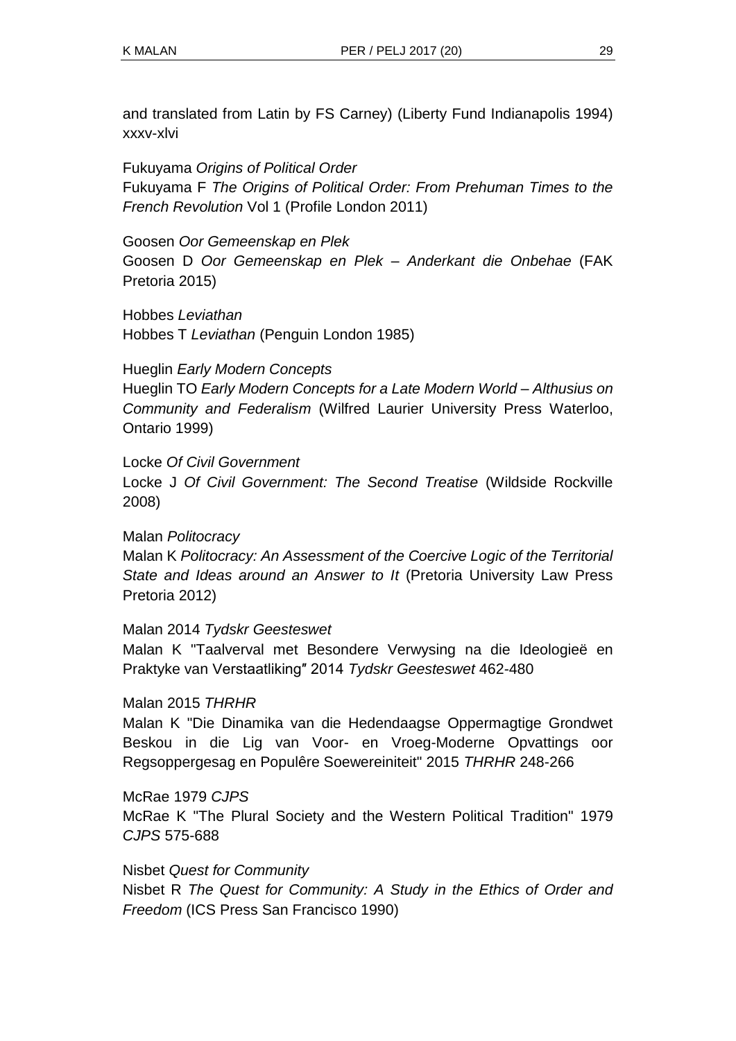and translated from Latin by FS Carney) (Liberty Fund Indianapolis 1994) xxxv-xlvi

Fukuyama *Origins of Political Order* Fukuyama F *The Origins of Political Order: From Prehuman Times to the French Revolution* Vol 1 (Profile London 2011)

Goosen *Oor Gemeenskap en Plek* Goosen D *Oor Gemeenskap en Plek – Anderkant die Onbehae* (FAK Pretoria 2015)

Hobbes *Leviathan* Hobbes T *Leviathan* (Penguin London 1985)

Hueglin *Early Modern Concepts*

Hueglin TO *Early Modern Concepts for a Late Modern World – Althusius on Community and Federalism* (Wilfred Laurier University Press Waterloo, Ontario 1999)

Locke *Of Civil Government*

Locke J *Of Civil Government: The Second Treatise* (Wildside Rockville 2008)

Malan *Politocracy* Malan K *Politocracy: An Assessment of the Coercive Logic of the Territorial State and Ideas around an Answer to It* (Pretoria University Law Press Pretoria 2012)

Malan 2014 *Tydskr Geesteswet* Malan K "Taalverval met Besondere Verwysing na die Ideologieë en Praktyke van Verstaatliking″ 2014 *Tydskr Geesteswet* 462-480

Malan 2015 *THRHR*

Malan K "Die Dinamika van die Hedendaagse Oppermagtige Grondwet Beskou in die Lig van Voor- en Vroeg-Moderne Opvattings oor Regsoppergesag en Populêre Soewereiniteit" 2015 *THRHR* 248-266

McRae 1979 *CJPS* McRae K "The Plural Society and the Western Political Tradition" 1979 *CJPS* 575-688

Nisbet *Quest for Community* Nisbet R *The Quest for Community: A Study in the Ethics of Order and Freedom* (ICS Press San Francisco 1990)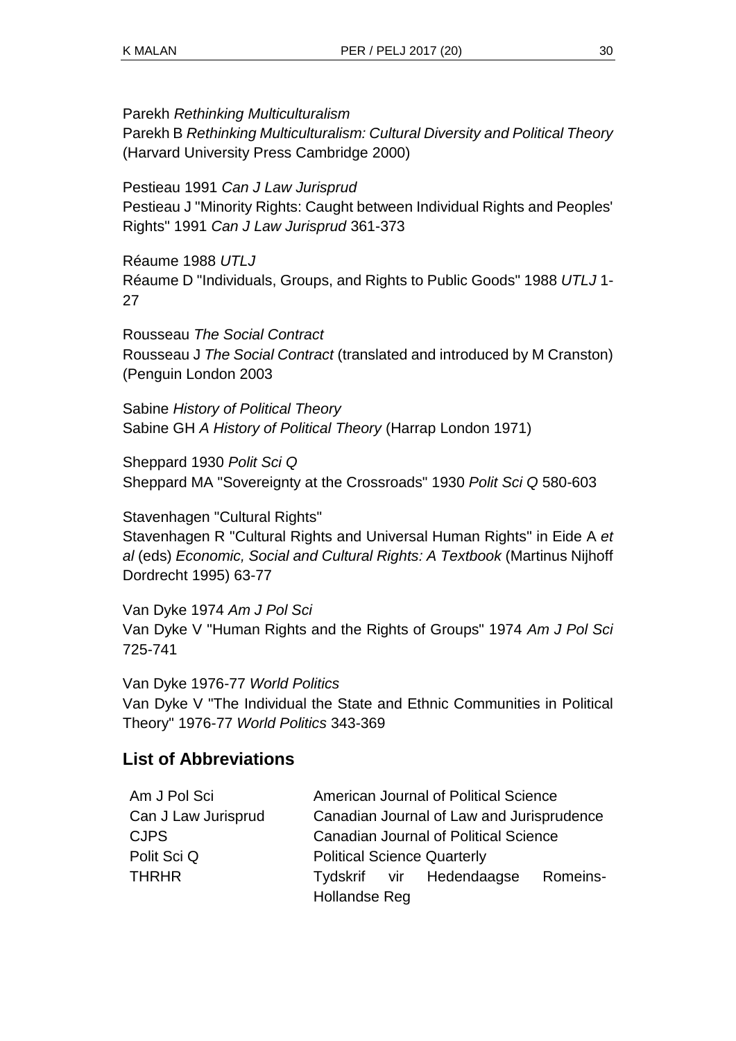Parekh *Rethinking Multiculturalism*

Parekh B *Rethinking Multiculturalism: Cultural Diversity and Political Theory* (Harvard University Press Cambridge 2000)

Pestieau 1991 *Can J Law Jurisprud*

Pestieau J "Minority Rights: Caught between Individual Rights and Peoples' Rights" 1991 *Can J Law Jurisprud* 361-373

Réaume 1988 *UTLJ* Réaume D "Individuals, Groups, and Rights to Public Goods" 1988 *UTLJ* 1- 27

Rousseau *The Social Contract* Rousseau J *The Social Contract* (translated and introduced by M Cranston) (Penguin London 2003

Sabine *History of Political Theory* Sabine GH *A History of Political Theory* (Harrap London 1971)

Sheppard 1930 *Polit Sci Q* Sheppard MA "Sovereignty at the Crossroads" 1930 *Polit Sci Q* 580-603

Stavenhagen "Cultural Rights" Stavenhagen R "Cultural Rights and Universal Human Rights" in Eide A *et al* (eds) *Economic, Social and Cultural Rights: A Textbook* (Martinus Nijhoff Dordrecht 1995) 63-77

Van Dyke 1974 *Am J Pol Sci* Van Dyke V "Human Rights and the Rights of Groups" 1974 *Am J Pol Sci* 725-741

Van Dyke 1976-77 *World Politics* Van Dyke V "The Individual the State and Ethnic Communities in Political Theory" 1976-77 *World Politics* 343-369

# **List of Abbreviations**

| Am J Pol Sci        | American Journal of Political Science        |  |
|---------------------|----------------------------------------------|--|
| Can J Law Jurisprud | Canadian Journal of Law and Jurisprudence    |  |
| <b>CJPS</b>         | <b>Canadian Journal of Political Science</b> |  |
| Polit Sci Q         | <b>Political Science Quarterly</b>           |  |
| <b>THRHR</b>        | Romeins-<br>Tydskrif vir Hedendaagse         |  |
|                     | Hollandse Reg                                |  |